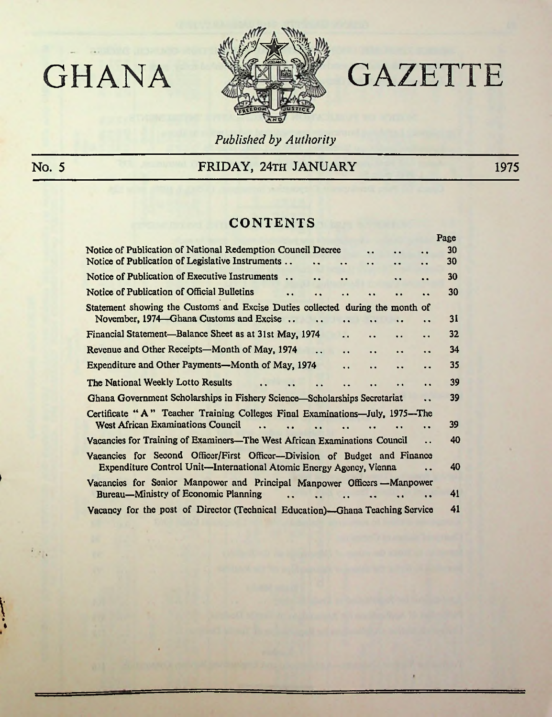

# GHANA **SHIP GAZETTE**

 $\mathbf{r}$ 

*Published by Authority*

**t**

**I**

## No. 5 FRIDAY, 24TH JANUARY 1975

## **CONTENTS**

|                                                                                                                                               | a ugu |
|-----------------------------------------------------------------------------------------------------------------------------------------------|-------|
| Notice of Publication of National Redemption Council Decree<br>$\ddot{\phantom{0}}$                                                           | 30    |
| Notice of Publication of Legislative Instruments<br>. .<br>$\ddot{\phantom{a}}$<br>. .<br>$\bullet$                                           | 30    |
| Notice of Publication of Executive Instruments<br>$\ddot{\phantom{0}}$<br>. .<br>$\ddot{\phantom{a}}$                                         | 30    |
| Notice of Publication of Official Bulletins<br>$\ddot{\phantom{a}}$<br>. .<br>. .                                                             | 30    |
| Statement showing the Customs and Excise Duties collected during the month of                                                                 |       |
| November, 1974—Ghana Customs and Excise                                                                                                       | 31    |
| Financial Statement—Balance Sheet as at 31st May, 1974<br>. .<br>. .<br>$\ddot{\phantom{a}}$<br>$\cdot$                                       | 32    |
| Revenue and Other Receipts—Month of May, 1974<br>$\ddot{\phantom{a}}$<br>$\ddot{\phantom{0}}$<br>$\ddot{\phantom{0}}$<br>$\ddot{\phantom{a}}$ | 34    |
| Expenditure and Other Payments—Month of May, 1974<br>$\ddot{\phantom{a}}$<br>$\ddot{\phantom{0}}$<br>. .<br>$\ddot{\phantom{a}}$              | 35    |
| The National Weekly Lotto Results<br>$\ddot{\phantom{1}}$<br>$\ddot{\phantom{0}}$                                                             | 39    |
| Ghana Government Scholarships in Fishery Science-Scholarships Secretariat<br>. .                                                              | 39    |
| Certificate "A" Teacher Training Colleges Final Examinations-July, 1975-The                                                                   |       |
| <b>West African Examinations Council</b><br>$\bullet$                                                                                         | 39    |
| Vacancies for Training of Examiners-The West African Examinations Council<br>. .                                                              | 40    |
| Vacancies for Second Officer/First Officer--Division of Budget and Finance                                                                    |       |
| Expenditure Control Unit-International Atomic Energy Agency, Vienna                                                                           | 40    |
| Vacancies for Senior Manpower and Principal Manpower Officers -Manpower                                                                       |       |
| Bureau—Ministry of Economic Planning                                                                                                          | 41    |
| Vacancy for the post of Director (Technical Education)-Ghana Teaching Service                                                                 | 41    |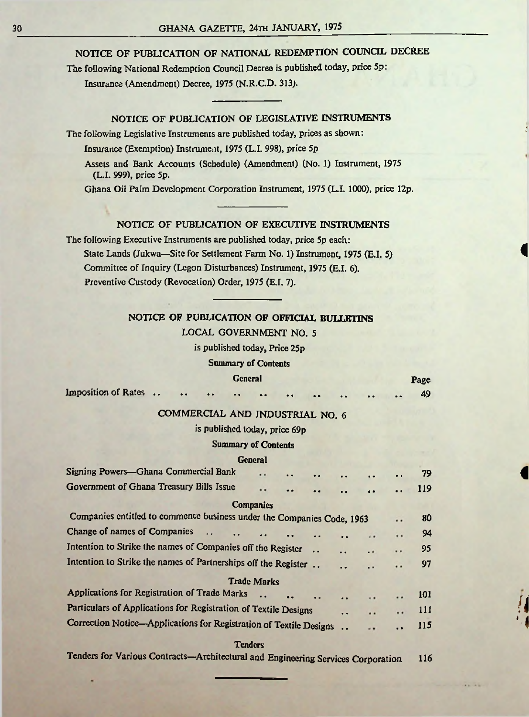#### NOTICE OF PUBLICATION OF NATIONAL REDEMPTION COUNCIL DECREE

The following National Redemption Council Decree is published today, price 5p: Insurance (Amendment) Decree, 1975 (N.R.C.D. 313).

#### NOTICE OF PUBLICATION OF LEGISLATIVE INSTRUMENTS

The following Legislative Instruments are published today, prices as shown:

Insurance (Exemption) Instrument, 1975 (L.I. 998), price 5p

Assets and Bank Accounts (Schedule) (Amendment) (No. 1) Instrument, 1975 (L.I. 999), price 5p.

Ghana Oil Palm Development Corporation Instrument, 1975 (L.I. 1000), price 12p.

#### NOTICE OF PUBLICATION OF EXECUTIVE INSTRUMENTS

The following Executive Instruments are published today, price 5p each: State Lands (Jukwa—Site for Settlement Farm No. 1) Instrument, 1975 (E.I. 5) Committee of Inquiry (Legon Disturbances) Instrument, 1975 (E.I. 6). Preventive Custody (Revocation) Order, 1975 (E.I. 7).

#### NOTICE OF PUBLICATION OF OFFICIAL BULLETINS

#### LOCAL GOVERNMENT NO. 5

is published today, Price 25p

Summary of Contents

#### General Page Imposition of Rates . . . . . . . . . . . . . . . . 49

**I**

**I**

COMMERCIAL AND INDUSTRIAL NO. 6

#### is published today, price 69p

#### Summary of Contents

#### General

| Signing Powers-Ghana Commercial Bank                                   | $\cdot$ .          |           |           | $\bullet$           | $\bullet$       | 79         |  |
|------------------------------------------------------------------------|--------------------|-----------|-----------|---------------------|-----------------|------------|--|
| Government of Ghana Treasury Bills Issue                               |                    |           | . .       | $\bullet$ $\bullet$ | $\bullet$       | <b>119</b> |  |
|                                                                        | <b>Companies</b>   |           |           |                     |                 |            |  |
| Companies entitled to commence business under the Companies Code, 1963 |                    |           |           |                     |                 | 80         |  |
| Change of names of Companies<br>$\ddot{\phantom{0}}$                   |                    | $\bullet$ | $\bullet$ | $\mathbf{u}$        | $\cdot$ $\cdot$ | 94         |  |
| Intention to Strike the names of Companies off the Register            |                    |           |           | $\cdot$ $\cdot$     | $\bullet$       | 95         |  |
| Intention to Strike the names of Partnerships off the Register         |                    |           | $\bullet$ | $\bullet$           | $\bullet$       | 97         |  |
|                                                                        | <b>Trade Marks</b> |           |           |                     |                 |            |  |
| Applications for Registration of Trade Marks                           |                    |           | . .       | $\mathbf{u}$        |                 | 101        |  |
| Particulars of Applications for Registration of Textile Designs        |                    |           | $\cdot$   |                     | $\cdot$ $\cdot$ | 111        |  |
| Correction Notice-Applications for Registration of Textile Designs     |                    |           |           | $\cdots$            | $\bullet$       | 115        |  |
|                                                                        |                    |           |           |                     |                 |            |  |

**Tenders** 

Tenders for Various Contracts—Architectural and Engineering Services Corporation 116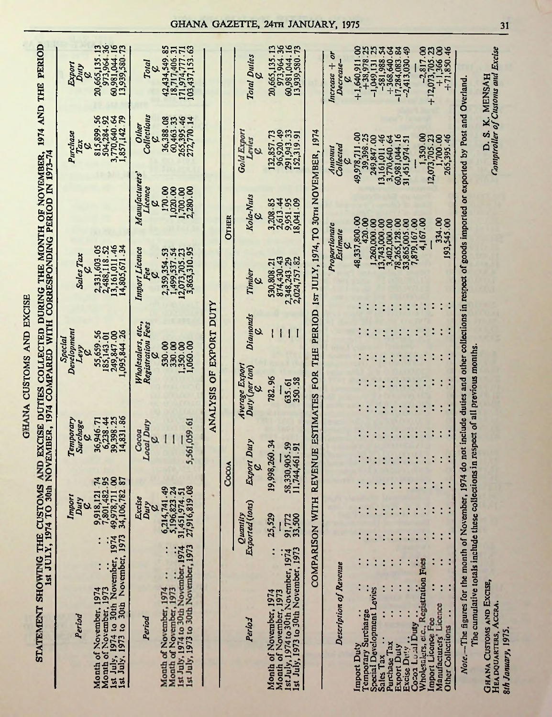| <b>EXCISF</b>  |
|----------------|
|                |
|                |
|                |
|                |
|                |
|                |
|                |
|                |
|                |
|                |
| 白<br>人         |
|                |
|                |
|                |
|                |
|                |
|                |
|                |
|                |
|                |
|                |
|                |
|                |
|                |
|                |
|                |
|                |
|                |
|                |
| <b>CUSTOMS</b> |
|                |
|                |
|                |
|                |
|                |
|                |
|                |
|                |
|                |
| <b>HANA</b>    |
|                |
|                |
|                |
|                |
|                |

STATEMENT SHOWING THE CUSTOMS AND EXCISE DUTIES COLLECTED DURING THE MONTH OF NOVEMBER, 1974 AND THE PERIOD

|                                                                                                                                                                                                                                                  |                                        |                             |                                                                |                                                 |                                     |          |                                  |                                                       |                         | 1st JULY, 1974 TO 30th NOVEMBER, 1974 COMPARED WITH CORRESPONDING PERIOD IN 1973-74             |                                  |                                                                                     |                                                                    |
|--------------------------------------------------------------------------------------------------------------------------------------------------------------------------------------------------------------------------------------------------|----------------------------------------|-----------------------------|----------------------------------------------------------------|-------------------------------------------------|-------------------------------------|----------|----------------------------------|-------------------------------------------------------|-------------------------|-------------------------------------------------------------------------------------------------|----------------------------------|-------------------------------------------------------------------------------------|--------------------------------------------------------------------|
| Period                                                                                                                                                                                                                                           |                                        |                             | Import<br>Duty<br>Quy                                          |                                                 | Temporary<br><b>Surchage</b>        |          |                                  | Development<br>Special<br>Levy<br>Ø                   |                         | Sales Tax                                                                                       |                                  | Purchase<br>Tax<br>Q                                                                | Export<br>Duty<br>$\mathbf{z}$                                     |
| Ist July, 1973 to 30th November, 1973<br>1st July, 1974 to 30th November, 1974<br>Month of November, 1974<br>Month of November, 1973                                                                                                             |                                        |                             | 9,918,121<br>7,801,482<br>49,978,711<br>34,106,782             | <b>42822</b>                                    | 39,398.25<br>14,831.86<br>36,946.71 | 6,238.44 |                                  | 55,659.56<br>185,143.01<br>249,847.00<br>1,095,844.26 |                         | 13,161,011.46<br>14,805,671.34<br>2,331,603.05<br>2,488,118.52                                  |                                  | 815,899.56<br>504,284.92<br>3,770,640.64<br>1,857,142.79                            | 20,665,135.13<br>973,964.36<br>60,981,044.16<br>13,939,580.73      |
| Period                                                                                                                                                                                                                                           |                                        |                             | Excise<br>Duty                                                 |                                                 | <b>Local Duty</b><br>Cocoa<br>ο     |          |                                  | Wholesalers, etc.,<br>Registration Fees               |                         | <b>Import Licence</b><br>S                                                                      | Manufacturers'<br>Licence        | Collections<br>Other                                                                | Total                                                              |
| 1st July, 1973 to 30th November, 1973<br>Month of November, 1973<br>1st July, 1974 to 30th November, 1974<br>Month of November, 1974                                                                                                             |                                        |                             | 6,214,741.49<br>5,196,823.24<br>31,451,974.51<br>27,916,819.08 |                                                 | 5,561,059.61                        |          |                                  | 530.00<br>1,350.00<br>S                               |                         | 2,359,354.53<br>1,499,537.54<br>12,073,705.23<br>3,863,310.95                                   | 170.00<br>1,020.00<br>1,700.00   | 36,388.08<br>265,395.46<br>272,770.14<br>60,463.33                                  | 42,434,549 85<br>171,974,777.71<br>103,437,153.63<br>18,717,406.31 |
|                                                                                                                                                                                                                                                  |                                        |                             |                                                                |                                                 |                                     |          |                                  |                                                       | ANALYSIS OF EXPORT DUTY |                                                                                                 |                                  |                                                                                     |                                                                    |
|                                                                                                                                                                                                                                                  |                                        |                             |                                                                | Cocc.                                           |                                     |          |                                  |                                                       |                         |                                                                                                 | <b>OTHER</b>                     |                                                                                     |                                                                    |
| Period                                                                                                                                                                                                                                           |                                        | Exported (tons)<br>Quantity |                                                                | Export Duty                                     |                                     |          | Average Export<br>Duty (per ton) |                                                       | <b>Diamonds</b>         | Timber                                                                                          | Kola-Nuts                        | Gold Export<br>Levies                                                               | Total Duties                                                       |
| 1st July, 1973 to 30th November, 1973<br>1st July, 1974 to 30th November, 1974<br>Month of November, 1974<br>Month of November, 1973                                                                                                             | $\ddot{\cdot}$                         | 25,529<br>91,772<br>33,500  |                                                                | 19,998,260.34<br>58,330,905.59<br>11,744,461.91 |                                     |          | 782.96<br>350.58<br>635.61       |                                                       |                         | 874,430.43<br>2,348,243.29<br>2,024,757.82<br>530,808.21                                        | 2,613.44<br>9,951.95<br>3,208.85 | 96,920.49<br>291,943.33<br>152,319.91<br>132,857.73                                 | 20,665,135.13<br>973,964.36<br>60,981,044.16<br>13,939,580.73      |
|                                                                                                                                                                                                                                                  | COMPARISON WI                          |                             |                                                                |                                                 |                                     |          | TH REVENUE ESTIMATES FOR         |                                                       |                         | THE PERIOD IST JULY, 1974, TO 30TH NOVEMBER, 1974                                               |                                  |                                                                                     |                                                                    |
| Description of Revenue                                                                                                                                                                                                                           |                                        |                             |                                                                |                                                 |                                     |          |                                  |                                                       |                         | Proportionate<br>Estimate                                                                       |                                  | Collected<br>moun                                                                   | $Increase + or$<br>Decrease-<br>७                                  |
| Import Duty                                                                                                                                                                                                                                      |                                        |                             |                                                                |                                                 |                                     |          |                                  |                                                       |                         |                                                                                                 | 48,337,800.00                    | 49,978,711.00                                                                       | 1.540,911.00                                                       |
| Special Development Levies<br>Temporary Surcharge                                                                                                                                                                                                |                                        |                             |                                                                |                                                 |                                     |          |                                  |                                                       |                         |                                                                                                 | 420.00<br>1,260,000.00           | 249,847.00                                                                          | 25<br>$+38,978.2$<br>-1,049,131                                    |
| Sales Tax                                                                                                                                                                                                                                        |                                        |                             |                                                                |                                                 |                                     |          |                                  |                                                       |                         | $\begin{array}{c} 13,743,000,000\\ 3,402,000,000\\ 78,265,128,000\\ 78,865,005,000 \end{array}$ |                                  | 13,161,011.46<br>3,770,640.64                                                       | $-1,049,131$ 25<br>$-581,988$ .54                                  |
| Purchase Tax<br><b>Export Duty</b>                                                                                                                                                                                                               |                                        |                             |                                                                |                                                 |                                     |          |                                  |                                                       |                         |                                                                                                 |                                  |                                                                                     | $+368,640.64$<br>$-17,284,083.84$<br>$-2,413,030.49$               |
| Excise Duty                                                                                                                                                                                                                                      |                                        |                             |                                                                |                                                 |                                     |          |                                  |                                                       |                         |                                                                                                 |                                  | 60,981,044.16<br>31,451,974.51                                                      |                                                                    |
| Wholesalers, etc., Registration Fees<br>Cocoa Local Duty                                                                                                                                                                                         |                                        |                             |                                                                |                                                 |                                     |          |                                  |                                                       |                         |                                                                                                 | 7,879,167.00<br>4,167.00         |                                                                                     |                                                                    |
| Import Licence Fee                                                                                                                                                                                                                               |                                        |                             |                                                                |                                                 |                                     |          |                                  |                                                       |                         |                                                                                                 |                                  |                                                                                     | $-2,817.00$<br>+12,073,705.23                                      |
| Manufacturers' Licence<br>Other Collections                                                                                                                                                                                                      | $\ddot{\phantom{0}}$<br>$\ddot{\cdot}$ |                             |                                                                |                                                 |                                     |          |                                  |                                                       |                         |                                                                                                 | 334.00<br>193,545.00             | $\begin{array}{c} 1,350.00 \\ 12,073,705.23 \\ 1,700.00 \\ 2,65,395.46 \end{array}$ | $00001+7$<br>00 00 00:1+                                           |
| Note.—The figures for the month of November, 1974 do not include duties and other collections in respect of goods imported or exported by Post and Overland<br>The cumulative totals include these collections in respect of all previous months |                                        |                             |                                                                |                                                 |                                     |          |                                  |                                                       |                         |                                                                                                 |                                  |                                                                                     |                                                                    |
|                                                                                                                                                                                                                                                  |                                        |                             |                                                                |                                                 |                                     |          |                                  |                                                       |                         |                                                                                                 |                                  |                                                                                     |                                                                    |

### GHANA GAZETTE, 24TH JANUARY, 1975

D. S. K. MENSAH<br>Comptroller of Customs and Excise

GHANA CUSTONIS AND EXCISE,<br>Hea douarters, Accra.<br>8th January, 1975.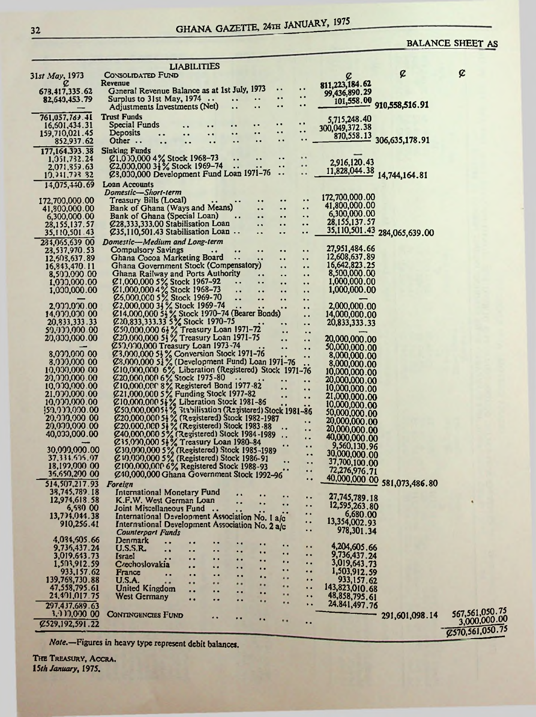## GHANA GAZETTE, 24TH JANUARY, 1975

### **BALANCE SHEET AS**

|                                    |                                                                                                                                                                                       | <b>LIABILITIES</b>     |                                                                       |                                              |                                              |                              |                              |                   |
|------------------------------------|---------------------------------------------------------------------------------------------------------------------------------------------------------------------------------------|------------------------|-----------------------------------------------------------------------|----------------------------------------------|----------------------------------------------|------------------------------|------------------------------|-------------------|
| 31st May, 1973                     | CONSOLIDATED FUND                                                                                                                                                                     |                        |                                                                       |                                              |                                              | ¢                            | ¢                            | ¢                 |
| c                                  | Revenue                                                                                                                                                                               |                        |                                                                       |                                              |                                              | 811,223,184.62               |                              |                   |
| 673,417,335.62                     | General Revenue Balance as at 1st July, 1973                                                                                                                                          |                        |                                                                       | $\ddot{\phantom{1}}$                         | $\cdot$ $\cdot$<br>$\ddot{\phantom{a}}$      | 99,436,890.29                |                              |                   |
| 82,640,453.79                      | Surplus to 31st May, $1974$                                                                                                                                                           |                        | $\ddot{\phantom{1}}$                                                  | $\bullet$                                    | $\bullet$                                    | 101,558.00                   | 910,558,516.91               |                   |
|                                    | Adjustments Investments (Net)                                                                                                                                                         |                        | <br>$\ddot{\phantom{a}}$                                              |                                              |                                              |                              |                              |                   |
| 761,057,783.41                     | <b>Trust Funds</b>                                                                                                                                                                    |                        |                                                                       |                                              |                                              | 5,715,248.40                 |                              |                   |
| 16, 601, 434.31                    | Special Funds                                                                                                                                                                         |                        | $\bullet$                                                             | $\bullet$                                    | . .                                          | 300,049,372.38               |                              |                   |
| 159,710,021.45                     | Deposits                                                                                                                                                                              |                        | <br>$\ddot{\phantom{0}}$                                              | $\ddot{\phantom{1}}$                         | $\ddot{\phantom{0}}$<br>$\ddot{\phantom{1}}$ | 870,558.13                   |                              |                   |
| 852,937.62                         | Other $\ldots$<br>$\ddot{\phantom{a}}$                                                                                                                                                |                        |                                                                       |                                              |                                              |                              | 306,635,178.91               |                   |
| 177, 164, 393, 38                  | <b>Sinking Funds</b>                                                                                                                                                                  |                        |                                                                       |                                              |                                              |                              |                              |                   |
| 1, 051, 732, 24                    | $\emptyset$ 1,000,000 4% Stock 1968-73                                                                                                                                                |                        |                                                                       | . .                                          | $\bullet$ .                                  | 2,916,120.43                 |                              |                   |
| 2,071,859.63                       | $Z2,000,000$ 3 $\frac{1}{2}$ % Stock 1969-74                                                                                                                                          |                        |                                                                       | $\ddot{\phantom{a}}$                         | <br>                                         | 11,828,044.38 14,744,164.81  |                              |                   |
| 19.941,793-82                      | Ø3,000,000 Development Fund Loan 1971-76                                                                                                                                              |                        |                                                                       |                                              |                                              |                              |                              |                   |
| 14,075,440.69                      | Loan Accounts                                                                                                                                                                         |                        |                                                                       |                                              |                                              |                              |                              |                   |
|                                    | Domestic-Short-term                                                                                                                                                                   |                        |                                                                       |                                              |                                              | 172,700,000.00               |                              |                   |
| 172,700,000.00                     | Treasury Bills (Local)                                                                                                                                                                |                        | $\bullet\hspace{0.1cm} \bullet\hspace{0.1cm}$                         | $\bullet\hspace{1mm} \bullet$                | $\bullet$ $\bullet$<br>$\ddot{\phantom{a}}$  | 41,800,000.00                |                              |                   |
| 41,800,000.00                      | Bank of Ghana (Ways and Means)                                                                                                                                                        |                        | $\ddot{\phantom{1}}$                                                  | $\ddot{\phantom{a}}$                         | $\ddot{\phantom{0}}$                         | 6,300,000.00                 |                              |                   |
| 6,300,000.00                       | Bank of Ghana (Special Loan)                                                                                                                                                          |                        | $\ddot{\phantom{a}}$<br>$\sim$ $\sim$<br>$\ddot{\phantom{a}}$         | $\ddot{\phantom{1}}$                         | $\ddot{\phantom{1}}$                         | 28,155,137.57                |                              |                   |
| 28,155,137.57                      | C <sub>28</sub> , 333, 333, 00 Stabilisation Loan<br>$\varnothing$ 35,110,501.43 Stabilisation Loan $\cdots$                                                                          |                        |                                                                       | $\ddot{\phantom{1}}$<br>$\ddot{\phantom{a}}$ | $\ddot{\phantom{1}}$                         |                              | 35,110,501.43 284,065,639.00 |                   |
| 35,110,501.43                      |                                                                                                                                                                                       |                        |                                                                       |                                              |                                              |                              |                              |                   |
| 234,065,639 00                     | Domestic-Medium and Long-term                                                                                                                                                         |                        |                                                                       |                                              |                                              | 27,951,484.66                |                              |                   |
| 23,537,970.53                      | Compulsory Savings                                                                                                                                                                    |                        | $\ddot{\phantom{0}}$<br>$\bullet\hspace{0.4mm} \bullet\hspace{0.4mm}$ | $\bullet$ $\bullet$                          | $\ddot{\phantom{a}}$                         | 12,608,637.89                |                              |                   |
| 12,503,637.89                      | Ghana Cocoa Marketing Board<br>Ghana Government Stock (Compensatory)                                                                                                                  |                        | $\bullet$ $\bullet$                                                   | $\ddot{\phantom{a}}$                         | $\ddot{\phantom{0}}$                         | 16,642,823.25                |                              |                   |
| 16, 843, 470. 11<br>8,500,000.00   | Ghana Railway and Ports Authority                                                                                                                                                     |                        |                                                                       |                                              | <br>$\ddot{\phantom{1}}$                     | 8,500,000.00                 |                              |                   |
| 1,000,000.00                       |                                                                                                                                                                                       |                        | $\ddot{\phantom{a}}$<br>$\ddot{\phantom{1}}$                          |                                              |                                              | 1,000,000.00                 |                              |                   |
| 1,000,000.00                       |                                                                                                                                                                                       |                        | $\ddot{\phantom{1}}$<br>. .                                           |                                              | $\ddot{\phantom{1}}$<br>$\bar{\phantom{a}}$  | 1,000,000.00                 |                              |                   |
|                                    |                                                                                                                                                                                       |                        | $\ddot{\phantom{a}}$<br>                                              |                                              | $\ddot{\phantom{0}}$                         |                              |                              |                   |
| 2,000.000.00                       | E1,000,000 5% Stock 1967-92<br>E1,000,000 4% Stock 1968-73<br>E5,000,000 5% Stock 1969-70<br>E2,000,000 34% Stock 1969-74                                                             |                        | $\blacksquare$                                                        |                                              | $\ddot{\phantom{1}}$                         | 2,000,000.00                 |                              |                   |
| 14,979,070.00                      | E14,000,000 54% Stock 1970-74 (Bearer Bonds)<br>E20,833,333.33 5% Stock 1970-75<br>E50,000,000 64% Treasury Loan 1971-72                                                              |                        |                                                                       |                                              | $\ddot{\phantom{a}}$                         | 14,000,000.00                |                              |                   |
| 20,833,333.33                      |                                                                                                                                                                                       |                        |                                                                       |                                              | $\bullet$ $\bullet$                          | 20,833,333,33                |                              |                   |
| 59.999.990-00-                     |                                                                                                                                                                                       |                        |                                                                       | $\ddot{\phantom{0}}$                         | $\ddot{\phantom{0}}$                         |                              |                              |                   |
| 20,000,000.00                      | 220,000,000 51% Treasury Loan 1971-75                                                                                                                                                 |                        |                                                                       |                                              | $\ddot{\phantom{a}}$                         | 20,000,000.00                |                              |                   |
|                                    | C57,000,000 Treasury Loan 1973-74                                                                                                                                                     |                        |                                                                       |                                              |                                              | 50,000,000.00                |                              |                   |
| 8,000,000 00                       | Ø3,000,000 5} % Conversion Stock 1971-76                                                                                                                                              |                        |                                                                       |                                              | .,                                           | 8,000,000.00                 |                              |                   |
| 8,000,000.00                       | 28,000,000 51% (Development Fund) Loan 1971-76<br>210,000,000 6% Liberation (Registered) Stock 1971-76                                                                                |                        |                                                                       |                                              |                                              | 8,000,000.00                 |                              |                   |
| 10,000,000 00                      |                                                                                                                                                                                       |                        |                                                                       |                                              |                                              | 10,000,000.00                |                              |                   |
| 20,000,000.00                      | Ø20,000,000 6% Stock 1975-80                                                                                                                                                          |                        |                                                                       |                                              | . .                                          | 20,000,000.00                |                              |                   |
| 10,000,000.00                      | 210,000,000 8% Registered Bond 1977-82<br>21,000,000 5% Funding Stock 1977-82<br>210,000,000 54% Liberation Stock 1981-86                                                             |                        |                                                                       |                                              | $\ddot{\phantom{a}}$                         | 10,000,000.00                |                              |                   |
| 21,000,000.00                      |                                                                                                                                                                                       |                        |                                                                       | $\cdot \cdot$                                |                                              | 21,000,000.00                |                              |                   |
| 10,000,000.00                      |                                                                                                                                                                                       |                        |                                                                       |                                              |                                              | 10,000,000.00                |                              |                   |
| ${59.933.000.00}$<br>20,999,900.00 |                                                                                                                                                                                       |                        |                                                                       |                                              |                                              | 50,000,000.00                |                              |                   |
| 20,000,000.00                      | 250,000,00054 % 313bilisation (Resistered) Stock 1981-86<br>220,000,000 54 % (Resistered) Stock 1982-1987<br>220,000,000 54 % (Resistered) Stock 1983-88                              |                        |                                                                       |                                              |                                              | 20,000,000.00                |                              |                   |
| 40,000,000.00                      |                                                                                                                                                                                       |                        |                                                                       |                                              | $\ddot{\phantom{1}}$                         | 20,000,000.00                |                              |                   |
|                                    |                                                                                                                                                                                       |                        |                                                                       | $\cdot$ $\cdot$                              |                                              | 40,000,000.00                |                              |                   |
| 30,000,000.00                      |                                                                                                                                                                                       |                        |                                                                       | $\bullet$                                    | $\ddot{\phantom{0}}$                         | 9,560,130.96                 |                              |                   |
| 37, 331. 605, 07                   | 640,000,000 5% (Registered) Stock 1984-1989<br>635,000,000 5% (Registered) Stock 1984-1989<br>630,000,000 5% (Registered) Stock 1985-1989<br>60,000,000 5% (Registered) Stock 1986-91 |                        |                                                                       | $\ddot{\phantom{0}}$                         | $\ddot{\phantom{a}}$                         | 30,000,000.00                |                              |                   |
| 18,199,000 00                      | C100,000,000 6% Registered Stock 1988-93                                                                                                                                              |                        |                                                                       | $^{\bullet}$ a                               | $\ddot{\phantom{1}}$                         | 37,700,100.00                |                              |                   |
| 35,650,200 00                      | Ø40,000,000 Ghana Government Stock 1992-96                                                                                                                                            |                        |                                                                       |                                              | $\ddot{\phantom{1}}$                         | 72,276,976.71                |                              |                   |
| 514, 507, 217.93                   | <b>Foreign</b>                                                                                                                                                                        |                        |                                                                       |                                              | $\bullet$                                    |                              | 40,000,000 00 581,073,486.80 |                   |
| 38,745,789.18                      | International Monetary Fund                                                                                                                                                           |                        |                                                                       |                                              |                                              |                              |                              |                   |
| 12,974,618.58                      | K.F.W. West German Loan                                                                                                                                                               |                        | <br>٠.                                                                | $\ddot{\phantom{1}}$                         | ٠.                                           | 27,745,789.18                |                              |                   |
| 6,530 00                           | Joint Miscellaneous Fund                                                                                                                                                              |                        |                                                                       | $\bullet$                                    |                                              | 12,595,263.80                |                              |                   |
| 13,774,044.38                      | International Development Association No. 1 a/c                                                                                                                                       |                        |                                                                       |                                              | $\bullet\bullet$<br>                         | 6,680.00                     |                              |                   |
| 910,256.41                         | International Development Association No. 2 a/c                                                                                                                                       |                        |                                                                       |                                              |                                              | 13,354,002.93                |                              |                   |
|                                    | <b>Counterpart Funds</b>                                                                                                                                                              |                        |                                                                       |                                              | μ.                                           | 978,301.34                   |                              |                   |
| 4,034,505.66                       | Denmark                                                                                                                                                                               | $\bullet$              | $\bullet$                                                             | . .                                          | . .                                          |                              |                              |                   |
| 9,736,437.24                       | <b>U.S.S.R.</b><br>$\ddot{\phantom{a}}$                                                                                                                                               | . .<br>. .             | $\bullet$                                                             | $\ddot{\phantom{a}}$                         |                                              | 4,204,605,66<br>9,736,437.24 |                              |                   |
| 3,019,643.73                       | Israel                                                                                                                                                                                | $\bullet$<br>$\bullet$ | $\bullet$<br>$\bullet$                                                | $\bullet$                                    | . .                                          | 3,019,643.73                 |                              |                   |
| 1,503,912.59<br>933,157.62         | Czechoslovakia                                                                                                                                                                        | $\cdot$<br>. .         | . .<br>$\ddot{\phantom{1}}$                                           | $\ddot{\phantom{a}}$                         |                                              | 1,503,912,59                 |                              |                   |
| 139,768,730.88                     | France<br>U.S.A.                                                                                                                                                                      | $\bullet$<br>$\bullet$ | $\bullet$<br>                                                         |                                              | $\cdot$ $\cdot$                              | 933,157.62                   |                              |                   |
| 47,558,795.61                      | <b>United Kingdom</b>                                                                                                                                                                 | <br>. .                | <br>                                                                  |                                              | $\ddot{\phantom{0}}$                         | 143,823,010.68               |                              |                   |
| 24,491,017.75                      | <b>West Germany</b>                                                                                                                                                                   | <br>. .                | . .<br>$\bullet$                                                      |                                              | $\ddot{\phantom{1}}$                         | 48,858,795.61                |                              |                   |
| 297,437,689.63                     |                                                                                                                                                                                       | . .                    | . .<br>                                                               |                                              | $\ddot{\phantom{1}}$                         | 24.841,497.76                |                              |                   |
| 3,932,000 00                       | <b>CONTINGENCIES FUND</b>                                                                                                                                                             |                        |                                                                       |                                              |                                              |                              |                              | 567, 561, 050. 75 |
| $Z$ 529, 192, 591. 22              |                                                                                                                                                                                       |                        | ٠.                                                                    |                                              | ٠.                                           |                              | 291,601,098.14               | 3,000,000.00      |
|                                    |                                                                                                                                                                                       |                        |                                                                       |                                              |                                              |                              |                              | C570, 561, 050.75 |
|                                    |                                                                                                                                                                                       |                        |                                                                       |                                              |                                              |                              |                              |                   |

Note.-Figures in heavy type represent debit balances.

THE TREASURY, ACCRA. 15th January, 1975.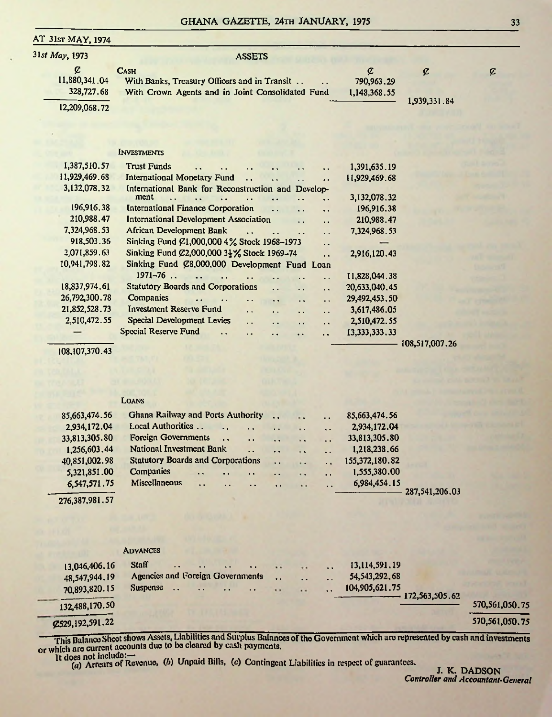#### GHANA GAZETTE, 24TH JANUARY, 1975 33

#### AT 31st MAY, 1974

| 31st May, 1973                   | <b>ASSETS</b>                                                                                                   |                                 |                |               |
|----------------------------------|-----------------------------------------------------------------------------------------------------------------|---------------------------------|----------------|---------------|
| ¢<br>11,880,341.04<br>328,727.68 | <b>CASH</b><br>With Banks, Treasury Officers and in Transit<br>With Crown Agents and in Joint Consolidated Fund | ¢<br>790,963.29<br>1,148,368,55 | ¢              | $\mathcal{C}$ |
| 12,209,068.72                    |                                                                                                                 |                                 | 1,939,331.84   |               |
|                                  |                                                                                                                 |                                 |                |               |
|                                  |                                                                                                                 |                                 |                |               |
|                                  | <b>INVESTMENTS</b>                                                                                              |                                 |                |               |
|                                  |                                                                                                                 |                                 |                |               |
| 1,387,510.57                     | <b>Trust Funds</b>                                                                                              | 1,391,635.19                    |                |               |
| 11,929,469.68                    | <b>International Monetary Fund</b><br>$\ddot{\phantom{a}}$<br>$\ddot{\phantom{a}}$                              | 11,929,469.68                   |                |               |
| 3,132,078,32                     | International Bank for Reconstruction and Develop-<br>ment                                                      |                                 |                |               |
|                                  |                                                                                                                 | 3,132,078.32                    |                |               |
| 196,916.38                       | <b>International Finance Corporation</b><br>. .<br>$\ddot{\phantom{a}}$                                         | 196,916.38                      |                |               |
| 210,988.47                       | <b>International Development Association</b><br>٠.                                                              | 210,988.47                      |                |               |
| 7,324,968,53                     | African Development Bank<br>$\ddot{\phantom{a}}$                                                                | 7,324,968,53                    |                |               |
| 918,503.36                       | Sinking Fund $\emptyset$ 1,000,000 4% Stock 1968-1973<br>. .                                                    |                                 |                |               |
| 2,071,859.63                     | Sinking Fund $\mathcal{Q}2,000,0003\frac{1}{2}\%$ Stock 1969–74<br>$\ddot{\phantom{a}}$                         | 2,916,120.43                    |                |               |
| 10,941,798.82                    | Sinking Fund Ø8,000,000 Development Fund Loan                                                                   |                                 |                |               |
|                                  | $1971 - 76$ .                                                                                                   | 11,828,044.38                   |                |               |
| 18,837,974.61                    | <b>Statutory Boards and Corporations</b><br>. .<br>$\ddot{\phantom{a}}$<br>Н.                                   | 20,633,040.45                   |                |               |
| 26,792,300.78                    | <b>Companies</b><br>$\epsilon$ .<br>. .                                                                         | 29,492,453.50                   |                |               |
| 21,852,528.73                    | <b>Investment Reserve Fund</b><br>. .<br>. .<br>$\ddot{\phantom{a}}$<br>$\ddot{\phantom{a}}$                    | 3,617,486.05                    |                |               |
| 2,510,472.55                     | <b>Special Development Levies</b><br>ò.<br>. .<br>$\cdot$ $\cdot$                                               | 2,510,472.55                    |                |               |
|                                  | Special Reserve Fund                                                                                            | 13, 333, 333, 33                |                |               |
|                                  |                                                                                                                 |                                 | 108,517,007.26 |               |

108,107,370.43

#### Loans

| 85,663,474.56 | Ghana Railway and Ports Authority                                                       |                      | $\ddot{\phantom{a}}$ | $\ddot{\phantom{a}}$ | 85,663,474.56     |  |
|---------------|-----------------------------------------------------------------------------------------|----------------------|----------------------|----------------------|-------------------|--|
| 2,934,172.04  | Local Authorities<br>$\ddot{\phantom{0}}$<br>$\cdot$ $\cdot$                            | $\ddot{\phantom{0}}$ | $\ddot{\phantom{a}}$ | $\ddot{\phantom{a}}$ | 2,934,172.04      |  |
| 33,813,305.80 | <b>Foreign Governments</b><br>$\mathbf{R}$<br>$\ddot{\phantom{a}}$                      | $\ddot{\phantom{a}}$ | $\ddot{\phantom{1}}$ | $\sim$ $\sim$        | 33,813,305.80     |  |
| 1,256,603.44  | National Investment Bank<br>$\ddot{\phantom{a}}$                                        | $\ddot{\phantom{a}}$ | $\sim$               | $\ddot{\phantom{a}}$ | 1,218,238.66      |  |
| 40,851,002.98 | <b>Statutory Boards and Corporations</b>                                                | $\ddot{\phantom{a}}$ | $\cdots$             | $\ddot{\phantom{a}}$ | 155,372,180.82    |  |
| 5,321,851.00  | <b>Companies</b><br>$\cdots$<br>$\ddot{\phantom{0}}$<br>$\sim$ $\sim$                   | $\ddot{\phantom{0}}$ | $\ddot{\phantom{a}}$ | $\ddot{\phantom{a}}$ | 1,555,380.00      |  |
| 6,547,571.75  | <b>Miscellaneous</b><br>$\ddot{\phantom{a}}$<br>$\ddot{\phantom{a}}$<br>$\cdot$ $\cdot$ | $\ddot{\phantom{a}}$ | $\cdot$ .            | $\ddot{\phantom{a}}$ | 6,984,454.15      |  |
|               |                                                                                         |                      |                      |                      | $-287,541,206.03$ |  |

276,387,981.57

|                   | <b>ADVANCES</b>                  |                                               |                     |                 |                      |                                  |                |
|-------------------|----------------------------------|-----------------------------------------------|---------------------|-----------------|----------------------|----------------------------------|----------------|
| 13,046,406.16     | <b>Staff</b><br>$\cdot$ $\cdot$  | $\ddot{\phantom{1}}$<br>$\cdots$<br>$\bullet$ | $\bullet$           | $+ +$           | $\ddot{\phantom{a}}$ | 13,114,591.19                    |                |
| 48,547,944.19     | Agencies and Foreign Governments |                                               | $\bullet$ $\bullet$ | $\cdot$ $\cdot$ | $\cdot$ $\cdot$      | 54, 543, 292, 68                 |                |
| 70,893,820.15     | <b>Suspense</b><br>$\cdots$      | $\cdot$ $\cdot$<br>$\bullet$<br>$\sim$        | $\bullet$           | $\cdots$        | $\bullet$            | 104,905,621.75<br>172,563,505,62 |                |
| 132,488,170.50    |                                  |                                               |                     |                 |                      |                                  | 570,561,050.75 |
| C529, 192, 591.22 |                                  |                                               |                     |                 |                      |                                  | 570,561,050.75 |

-----This Balance Sheetshows Assets, Liabilities and Surplus Balances ofthe Government which are represented by cash and investments or which are current accounts due to bo cleared by cash payments.

It does not include:--<br>It does not include:--<br>the Unpaid Bills, (c) Contingent Liabilities in respect of guarantees.

J. **K. DADSON** *Controller and Accountant-General*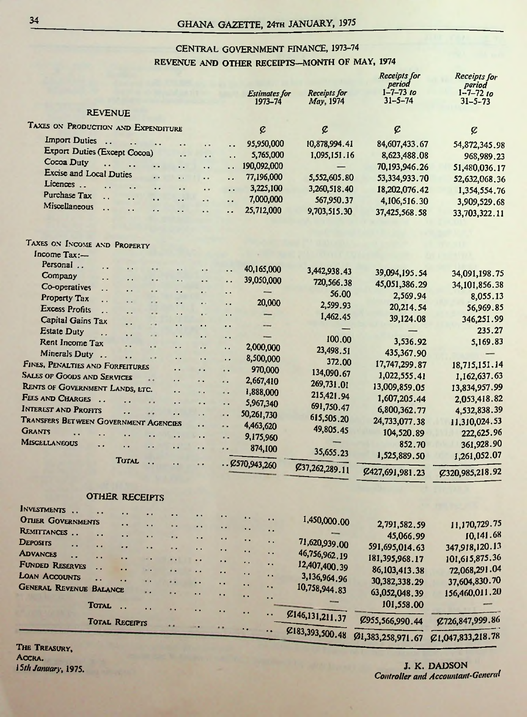## CENTRAL GOVERNMENT FINANCE, 1973-74 REVENUE AND OTHER RECEIPTS—MONTH OF MAY, 1974

|                                                        |                       |                      |                                         |                      |                      | <b>Estimates for</b><br>1973-74 | Receipts for<br>May, 1974  | Receipts for<br>period<br>$1 - 7 - 73$ to<br>$31 - 5 - 74$ | Receipts for<br>period<br>$1 - 7 - 7210$<br>$31 - 5 - 73$ |
|--------------------------------------------------------|-----------------------|----------------------|-----------------------------------------|----------------------|----------------------|---------------------------------|----------------------------|------------------------------------------------------------|-----------------------------------------------------------|
| <b>REVENUE</b>                                         |                       |                      |                                         |                      |                      |                                 |                            |                                                            |                                                           |
| TAXES ON PRODUCTION AND EXPENDITURE                    |                       |                      |                                         |                      |                      | ę                               | ¢                          | ¢                                                          | ¢                                                         |
| <b>Import Duties</b>                                   |                       |                      |                                         |                      |                      |                                 |                            |                                                            |                                                           |
| Export Duties (Except Cocoa)                           |                       |                      |                                         |                      | . .                  | 95,950,000                      | 10,878,994.41              | 84,607,433.67                                              | 54,872,345.98                                             |
| Cocoa Duty<br>. .                                      |                       |                      | . .                                     | . .                  | $\ddot{\phantom{0}}$ | 5,765,000                       | 1,095,151.16               | 8,623,488.08                                               | 968,989.23                                                |
| <b>Excise and Local Duties</b>                         |                       |                      | . .                                     | . .                  | ٠.                   | 190,092,000                     |                            | 70,193,946.26                                              | 51,480,036.17                                             |
| Licences<br>$\ddotsc$                                  |                       | $\ddot{\phantom{a}}$ | $\ddot{\phantom{a}}$<br>$\cdot$ $\cdot$ | . .                  | . .                  | 77,196,000<br>3,225,100         | 5,552,605.80               | 53,334,933.70                                              | 52,632,068.36                                             |
| <b>Purchase Tax</b><br>$\ddot{\phantom{a}}$            |                       | . .                  | . .                                     | $\ddot{\phantom{a}}$ | $\ddot{\phantom{0}}$ | 7,000,000                       | 3,260,518.40<br>567,950.37 | 18,202,076.42                                              | 1,354,554.76                                              |
| Miscellaneous<br>$\ddotsc$                             | Ω.                    |                      |                                         | $\ddot{\phantom{a}}$ | . .<br>. .           | 25,712,000                      | 9,703,515.30               | 4,106,516.30                                               | 3,909,529.68                                              |
|                                                        |                       |                      |                                         |                      |                      |                                 |                            | 37,425,568.58                                              | 33,703,322.11                                             |
| TAXES ON INCOME AND PROPERTY                           |                       |                      |                                         |                      |                      |                                 |                            |                                                            |                                                           |
| Income Tax:-                                           |                       |                      |                                         |                      |                      |                                 |                            |                                                            |                                                           |
| Personal<br>. .                                        |                       |                      |                                         | $\ddot{\phantom{1}}$ | . .                  | 40,165,000                      | 3,442,938.43               |                                                            |                                                           |
| Company<br>$\ddot{\phantom{0}}$                        | . .                   |                      | ٠.                                      | . .                  | . .                  | 39,050,000                      | 720,566.38                 | 39,094,195.54                                              | 34,091,198.75                                             |
| Co-operatives<br>г.                                    | k.                    | . .                  | . .                                     | $\ddot{\phantom{0}}$ | $\ddot{\phantom{1}}$ | -                               | 56.00                      | 45,051,386.29                                              | 34,101,856.38                                             |
| Property Tax<br>$\ddot{\phantom{a}}$                   | $\ddot{\phantom{0}}$  | . .                  | . .                                     | $\ddot{\phantom{a}}$ | . .                  | 20,000                          | 2,599.93                   | 2,569.94                                                   | 8,055.13                                                  |
| <b>Excess Profits</b><br>$\ddot{\phantom{a}}$          | . .                   | . .                  | . .                                     | $\bullet$            | $\ddot{\phantom{1}}$ |                                 | 1,462.45                   | 20,214.54                                                  | 56,969.85                                                 |
| Capital Gains Tax                                      | . .                   |                      | . .                                     | . .                  | $\ddot{\phantom{1}}$ |                                 |                            | 39,124.08                                                  | 346,251.99                                                |
| <b>Estate Duty</b><br>. .                              | μ.                    | $\sim$ $\sim$        | . .                                     | ٠.                   | $\ddot{\phantom{0}}$ |                                 | 100.00                     |                                                            | 235.27                                                    |
| Rent Income Tax                                        | . .                   | . .                  | . .                                     | . .                  | $\ddot{\phantom{1}}$ | 2,000,000                       | 23,498.51                  | 3,536.92                                                   | 5,169.83                                                  |
| Minerals Duty                                          | Ω.                    | $\ddot{\phantom{1}}$ | . .                                     | Ω.                   | $\ddot{\phantom{0}}$ | 8,500,000                       | 372.00                     | 435,367.90                                                 |                                                           |
| FINES, PENALTIES AND FORFEITURES                       |                       |                      | . .                                     | . .                  | . .                  | 970,000                         | 134,090.67                 | 17,747,299.87                                              | 18,715,151.14                                             |
| <b>SALES OF GOODS AND SERVICES</b>                     |                       |                      | . .                                     | . .                  | . .                  | 2,667,410                       | 269,731.01                 | 1,022,555.41                                               | 1,162,637.63                                              |
| RENTS OF GOVERNMENT LANDS, LTC.                        |                       |                      | . .                                     | ٠.                   | . .                  | 1,888,000                       | 215,421.94                 | 13,009,859.05                                              | 13,834,957.99                                             |
| FEES AND CHARGES<br><b>INTEREST AND PROFITS</b>        | . .                   |                      | . .                                     | . .                  | $\ddot{\phantom{1}}$ | 5,967,340                       | 691,750.47                 | 1,607,205.44                                               | 2,053,418.82                                              |
|                                                        | . .                   |                      | . .                                     | $\ddot{\phantom{1}}$ | ٠.                   | 50,261,730                      | 615,505.20                 | 6,800,362.77                                               | 4,532,838.39                                              |
| TRANSFERS BETWEEN GOVERNMENT AGENCIES<br><b>GRANTS</b> |                       |                      |                                         | . .                  | ٠.                   | 4,463,620                       | 49,805.45                  | 24,733,077.38                                              | 11,310,024.53                                             |
| . .<br><b>MISCELLANEOUS</b>                            |                       |                      | . .                                     | $\ddot{\phantom{0}}$ | . .                  | 9,175,960                       | -                          | 104,520.89                                                 | 222,625.96                                                |
| . .                                                    | $\ddot{\phantom{0}}$  | . .                  | $\ddot{\phantom{1}}$                    | $\ddot{\phantom{1}}$ | . .                  | 874,100                         | 35,655.23                  | 852.70                                                     | 361,928.90                                                |
|                                                        | <b>TOTAL</b>          | $\ddot{\phantom{0}}$ | $\epsilon$ .                            | ٠.                   |                      | .6570,943,260                   | £37,262,289.11             | 1,525,889.50                                               | 1,261,052.07                                              |
|                                                        |                       |                      |                                         |                      |                      |                                 |                            | £427,691,981.23                                            | Ø320,985,218.92                                           |
|                                                        | <b>OTHER RECEIPTS</b> |                      |                                         |                      |                      |                                 |                            |                                                            |                                                           |
| INVESTMENTS                                            |                       |                      |                                         |                      | $\ddot{\phantom{1}}$ |                                 |                            |                                                            |                                                           |
| <b>OTHER GOVERNMENTS</b>                               | . .                   | ٠,                   |                                         |                      |                      |                                 | 1,450,000.00               | 2,791,582.59                                               | 11.170.729.75                                             |
| REMITTANCES                                            |                       |                      |                                         |                      | . .                  | . .<br>٠.                       |                            | 45,066.99                                                  | 10,141.68                                                 |
| Deposits<br>. .                                        |                       |                      |                                         |                      | $\cdot$ .            | έ.<br>٠.                        | 71,620,939.00              | 591,695,014.63                                             | 347,918,120.13                                            |
| <b>ADVANCES</b><br>$\ddot{\phantom{a}}$<br>٠.          |                       | $\sim$ $\bullet$     |                                         |                      | $\ddot{\phantom{1}}$ | ٠.<br>. .                       | 46,756,962.19              | 181,395,968.17                                             | 101,615,875.36                                            |
| <b>FUNDED RESERVES</b><br>. .                          | . .                   |                      |                                         | . .                  | $\ddot{\phantom{a}}$ | .,<br>٠.                        | 12,407,400.39              | 86, 103, 413.38                                            | 72,068,291.04                                             |
| <b>LOAN ACCOUNTS</b><br>μ.                             | . .                   |                      | . .                                     |                      | ٠.                   | ٠,<br>٠.                        | 3,136,964.96               | 30, 382, 338.29                                            | 37,604,830.70                                             |
| <b>GENERAL REVENUE BALANCE</b>                         |                       |                      |                                         |                      |                      | ٠,<br>. .<br>. .                | 10,758,944.83              | 63,052,048.39                                              | 156,460,011.20                                            |
| <b>TOTAL</b>                                           |                       |                      |                                         |                      |                      | . .                             |                            | 101,558.00                                                 |                                                           |
|                                                        | <b>TOTAL RECEIPTS</b> |                      | ٠.                                      |                      | .,                   |                                 | C146,131,211.37            | Ø955,566,990.44                                            | Ø726,847,999.86                                           |
|                                                        |                       |                      |                                         |                      |                      | ٠.<br>. .                       | Z183,393,500.48            | Ø1,383,258,971.67                                          | C1,047,833,218.78                                         |

The Treasury, Accra.

**15th January**; 1975. **J. K. DADSON** *Controller and Accountant-General*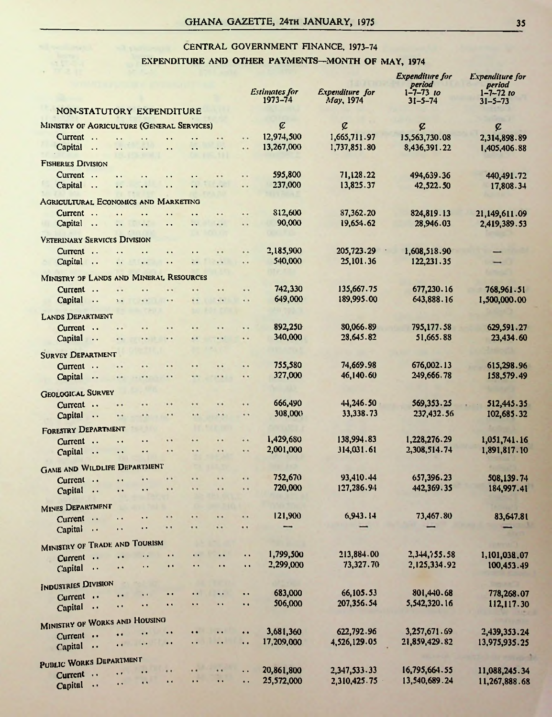## CENTRAL GOVERNMENT FINANCE, 1973-74 EXPENDITURE AND OTHER PAYMENTS—MONTH OF MAY, 1974

|                                                                                                                                     |                                                         |                         | <b>Expenditure</b> for    | <b>Expenditure</b> for    |
|-------------------------------------------------------------------------------------------------------------------------------------|---------------------------------------------------------|-------------------------|---------------------------|---------------------------|
|                                                                                                                                     | <b>Estimates for</b>                                    | <b>Expenditure</b> for  | period<br>$1 - 7 - 73$ to | period<br>$1 - 7 - 72$ to |
|                                                                                                                                     | 1973-74                                                 | May, 1974               | $31 - 5 - 74$             | $31 - 5 - 73$             |
| NON-STATUTORY EXPENDITURE                                                                                                           |                                                         |                         |                           |                           |
| MINISTRY OF AGRICULTURE (GENERAL SERVICES)                                                                                          | $\mathcal{C}$                                           | ¢                       | ¢                         | ¢                         |
| Current<br>$\sim$<br>. .<br>$\ddot{\phantom{0}}$<br>                                                                                | 12,974,500<br>                                          | 1,665,711.97            | 15,563,730.08             | 2,314,898.89              |
| Capital<br>$\ddot{\phantom{0}}$<br>. .<br>. .<br>. .<br>$\ddot{\phantom{0}}$<br>$\ddot{\phantom{0}}$                                | 13,267,000<br>$\ddot{\phantom{1}}$                      | 1,737,851.80            | 8,436,391.22              | 1,405,406.88              |
|                                                                                                                                     |                                                         |                         |                           |                           |
| <b>FISHERIES DIVISION</b>                                                                                                           |                                                         |                         |                           |                           |
| Current<br>$\ddot{\phantom{0}}$<br>. .                                                                                              | 595,800<br>. .                                          | 71,128.22               | 494,639.36                | 440,491.72                |
| Capital<br>$\cdot$ .<br>. .<br>г.<br>$\ddot{\phantom{1}}$<br>. .<br>τ.                                                              | 237,000<br>                                             | 13,825.37               | 42,522.50                 | 17,808.34                 |
| <b>AGRICULTURAL ECONOMICS AND MARKETING</b>                                                                                         |                                                         |                         |                           |                           |
| Current<br>$\ddot{\phantom{0}}$<br>. .                                                                                              | <b>S12,600</b><br>                                      | 87,362.20               | 824,819.13                | 21,149,611.09             |
| Capital<br>$\ddotsc$<br>. .<br>. .<br>. .<br><br>. .                                                                                | 90,000<br>. .                                           | 19,654.62               | 28.946.03                 | 2,419,389.53              |
| <b>VETERINARY SERVICES DIVISION</b>                                                                                                 |                                                         |                         |                           |                           |
| $Current \ldots$                                                                                                                    | 2,185,900<br>$\ddot{\phantom{1}}$                       | 205, 723.29             | 1,608,518.90              |                           |
| $\ddot{\phantom{a}}$<br>$\ddot{\phantom{a}}$<br>$\ddot{\phantom{a}}$<br>Capital<br>$\ddotsc$<br>. .<br>Ϋ.<br>$\ddot{\phantom{0}}$   | 540,000<br>$\ddot{\phantom{a}}$                         | 25,101.36               | 122.231.35                |                           |
|                                                                                                                                     |                                                         |                         |                           |                           |
| MINISTRY OF LANDS AND MINERAL RESOURCES                                                                                             |                                                         |                         |                           |                           |
| Current<br>$\sim$<br>. .                                                                                                            | 742,330<br>. .                                          | 135,667.75              | 677.230.16                | 768,961.51                |
| Capital<br>$\sim$ $\sim$<br>$\ddot{\phantom{a}}$ .<br>$\ddot{\phantom{1}}$<br>$\ddot{\phantom{1}}$<br>$\ddot{\phantom{1}}$          | 649,000<br>$\ddot{\phantom{a}}$                         | 189,995.00              | 643,888.16                | 1,500,000.00              |
| <b>LANDS DEPARTMENT</b>                                                                                                             |                                                         |                         |                           |                           |
| Current<br><br>                                                                                                                     | 892,250<br>. .                                          | 80.066.89               | 795,177.58                | 629,591.27                |
| Capital<br>. .<br><br>. .                                                                                                           | 340,000<br>$\ddot{\phantom{0}}$                         | 28,645.82               | 51.665.88                 | 23,434.60                 |
|                                                                                                                                     |                                                         |                         |                           |                           |
| <b>SURVEY DEPARTMENT</b>                                                                                                            |                                                         |                         |                           |                           |
| Current<br>$\ddot{\phantom{0}}$<br>. .<br>$\ddot{\phantom{1}}$<br>$\ddot{\phantom{1}}$<br>$\cdot$                                   | 755,580<br>. .                                          | 74,669.98               | 676,002.13                | 615,298.96                |
| Capital<br>٠٠<br>$\ddot{\phantom{1}}$                                                                                               | 327,000<br>$\ddot{\phantom{1}}$                         | 46,140.60               | 249,666.78                | 158,579.49                |
| <b>GEOLOGICAL SURVEY</b>                                                                                                            |                                                         |                         |                           |                           |
| Current<br>$\ddot{\phantom{1}}$<br>$\cdot$<br>$\cdot$ $\cdot$<br>                                                                   | 666,490<br>$\ddot{\phantom{1}}$                         | 44,246.50               | 569,353.25                | 512,445.35                |
| Capital<br>$\rightarrow$<br>$\ddot{\phantom{1}}$<br>$\cdot$<br>$\ddot{\phantom{1}}$<br>$\ddot{\phantom{1}}$<br>$\ddot{\phantom{1}}$ | 308,000<br>                                             | 33,338,73               | 232,432.56                | 102,685.32                |
| <b>FORESTRY DEPARTMENT</b>                                                                                                          |                                                         |                         |                           |                           |
| Current<br>$\ddot{\phantom{1}}$<br>$\ddot{\phantom{1}}$<br>$\ddot{\phantom{1}}$<br>$\ddot{\phantom{1}}$<br>$\ddot{\phantom{1}}$     | 1,429,680<br>$\ddot{\phantom{0}}$                       | 138,994.83              | 1,228,276.29              | 1,051,741.16              |
| Capital<br>$\ddot{\phantom{1}}$<br><br>$\ddot{\phantom{1}}$<br>$\ddot{\phantom{a}}$<br>$\ddot{\phantom{1}}$                         | 2,001,000<br>$\ddot{\phantom{1}}$                       | 314,031.61              | 2,308,514.74              | 1,891,817.10              |
|                                                                                                                                     |                                                         |                         |                           |                           |
| <b>GAME AND WILDLIFE DEPARTMENT</b>                                                                                                 |                                                         |                         |                           |                           |
| $\ddot{\phantom{1}}$<br>$\cdot$<br>$\ddot{\phantom{1}}$<br>Current<br>$\ddot{\phantom{1}}$<br>$\ddot{\phantom{a}}$                  | 752,670<br>$\bullet$<br>720,000<br>$\ddot{\phantom{1}}$ | 93,410.44<br>127,286.94 | 657,396.23<br>442,369.35  | 508,139.74<br>184,997.41  |
| Capital<br>$\ddot{\phantom{1}}$<br>$\ddot{\phantom{1}}$<br>$\bullet$ .<br>$\ddot{\phantom{1}}$<br>$\ddot{\phantom{1}}$              |                                                         |                         |                           |                           |
| <b>MINES DEPARTMENT</b>                                                                                                             |                                                         |                         |                           |                           |
| $\ddot{\phantom{1}}$<br>$\ddot{\phantom{1}}$<br>Current<br>. .<br>$\ddot{\phantom{1}}$                                              | 121,900<br>$\ddot{\phantom{1}}$                         | 6,943.14                | 73,467.80                 | 83,647.81                 |
| $\ddot{\phantom{1}}$<br>$\ddot{\phantom{1}}$<br>$\ddot{\phantom{0}}$<br>ò,<br>Capital<br>$\ddot{\phantom{1}}$<br>$\rightarrow$      |                                                         |                         |                           |                           |
| MINISTRY OF TRADE AND TOURISM                                                                                                       |                                                         |                         |                           |                           |
| $\ddot{\phantom{1}}$<br>$\ddot{\phantom{1}}$<br>. .<br>. .<br>$\ddot{\phantom{1}}$                                                  | 1,799,500<br>٠.                                         | 213,884.00              | 2,344,755.58              | 1,101,038.07              |
| Current<br>$\ddot{\phantom{0}}$<br>. .<br>$\ddot{\phantom{1}}$<br>$\ddot{\phantom{1}}$<br>$\ddot{\phantom{0}}$<br>$\sim$ .          | 2,299,000<br>. .                                        | 73,327.70               | 2,125,334.92              | 100,453.49                |
| Capital                                                                                                                             |                                                         |                         |                           |                           |
| <b>INDUSTRIES DIVISION</b>                                                                                                          |                                                         |                         |                           |                           |
| $\ddot{\phantom{1}}$<br>$\ddot{\phantom{1}}$<br>$\ddot{\phantom{0}}$<br>$\ddot{\phantom{1}}$<br>Current<br>$\ddot{\bullet}$         | 683,000<br>$\ddot{\phantom{1}}$                         | 66,105.53               | 801,440.68                | 778,268.07                |
| $\ddot{\phantom{1}}$<br>$\ddot{\phantom{1}}$<br>$\ddot{\phantom{1}}$<br>$\ddot{\phantom{1}}$<br>Capital<br>$\ddot{\phantom{a}}$     | 506,000<br>$\ddot{\phantom{a}}$                         | 207,356.54              | 5,542,320.16              | 112,117.30                |
| MINISTRY OF WORKS AND HOUSING                                                                                                       |                                                         |                         |                           |                           |
| $\ddot{\phantom{1}}$<br>$\ddot{\phantom{1}}$<br>. .<br>$\ddot{\phantom{0}}$<br>$\ddot{\phantom{0}}$<br>Current                      | 3,681,360<br>$\ddot{\phantom{0}}$                       | 622,792.96              | 3,257,671.69              | 2,439,353.24              |
| $\ddot{\phantom{1}}$<br>$\ddot{\phantom{1}}$<br>$\ddot{\phantom{1}}$<br>$\epsilon$ .<br>$\ddot{\phantom{1}}$<br>Capital             | 17,209,000<br>$\ddot{\phantom{0}}$                      | 4,526,129.05            | 21,859,429.82             | 13,975,935.25             |
|                                                                                                                                     |                                                         |                         |                           |                           |
| PUBLIC WORKS DEPARTMENT                                                                                                             |                                                         |                         |                           |                           |
| .,<br>$\ddot{\phantom{1}}$<br>. .<br>. .<br>$\ddot{\phantom{a}}$<br>Current                                                         | 20,861,800<br>$\ddot{\phantom{0}}$                      | 2,347,533.33            | 16,795,664.55             | 11,088,245.34             |
| $\ddot{\phantom{0}}$<br>$\epsilon$ .<br>$\ddot{\phantom{1}}$<br>$\ddot{\phantom{1}}$<br>$\ddot{\phantom{1}}$ .<br>Capitul           | 25,572,000<br>$\ddot{\phantom{0}}$                      | 2,310,425.75            | 13,540,689.24             | 11,267,888.68             |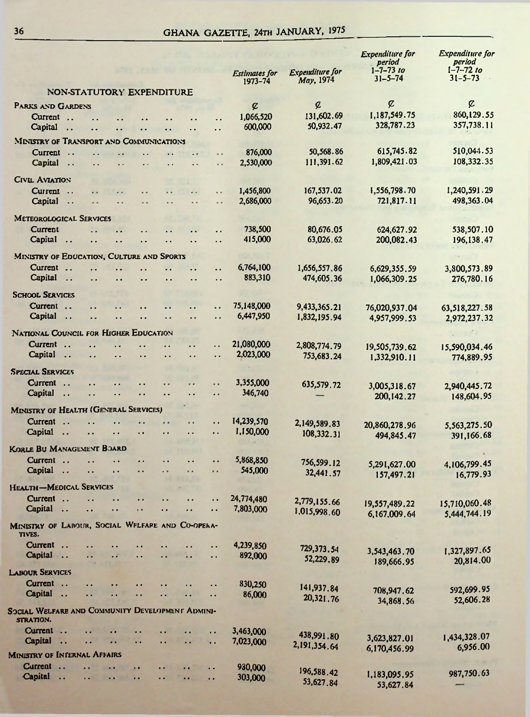## GHANA GAZETTE, 24TH JANUARY, 1975

|                                                                                                                                                         |                                 |                                     | <b>Expenditure</b> for<br>period | <b>Expenditure</b> for<br>period |
|---------------------------------------------------------------------------------------------------------------------------------------------------------|---------------------------------|-------------------------------------|----------------------------------|----------------------------------|
|                                                                                                                                                         | <b>Estimates for</b><br>1973-74 | <b>Expenditure</b> for<br>May, 1974 | $1 - 7 - 73$ to<br>$31 - 5 - 74$ | $1 - 7 - 72$ to<br>$31 - 5 - 73$ |
| NON-STATUTORY EXPENDITURE                                                                                                                               |                                 |                                     |                                  |                                  |
| PARKS AND GARDENS                                                                                                                                       | ¢                               | ¢                                   | ¢                                | ¢                                |
| Current<br>$\ddotsc$<br>Ξ.                                                                                                                              | 1,066,520                       | 131,602.69                          | 1.187,549.75                     | 860,129.55                       |
| Capital<br>. .                                                                                                                                          | 600,000                         | 50,932.47                           | 328,787.23                       | 357,738.11                       |
| <b>MINISTRY OF TRANSPORT AND COMMUNICATIONS</b>                                                                                                         |                                 |                                     |                                  |                                  |
| Current<br>$\ddot{\phantom{a}}$<br>. .                                                                                                                  | 876,000                         | 50,568.86                           | 615,745.82                       | 510,044.53                       |
| Capital<br>$\ddot{\phantom{a}}$<br>$\ddot{\phantom{0}}$<br>μ.<br>$\ddot{\phantom{1}}$<br>μ.                                                             | 2,530,000                       | 111,391.62                          | 1,809,421.03                     | 108,332.35                       |
| CIVIL AVIATION                                                                                                                                          |                                 |                                     |                                  |                                  |
| Current                                                                                                                                                 | 1,456,800                       | 167,537.02                          | 1,556,798.70                     | 1,240,591.29                     |
| . .<br><br><br>Capital<br>$\ddotsc$<br><br>. .<br>. .                                                                                                   | 2,686,000                       | 96,653.20                           | 721,817.11                       | 498,363.04                       |
|                                                                                                                                                         |                                 |                                     |                                  |                                  |
| <b>METEOROLOGICAL SERVICES</b>                                                                                                                          |                                 |                                     |                                  |                                  |
| Current<br>. .<br>. .<br>. .                                                                                                                            | 738,500<br>415,000              | 80,676.05<br>63,026.62              | 624,627.92<br>200,082.43         | 538,507.10                       |
| Capital<br>$\ddotsc$<br>. .<br>. .<br>. .                                                                                                               |                                 |                                     |                                  | 196,138.47                       |
| MINISTRY OF EDUCATION, CULTURE AND SPORTS                                                                                                               |                                 |                                     |                                  |                                  |
| Current.<br>. .                                                                                                                                         | 6,764,100                       | 1,656,557.86                        | 6,629,355.59                     | 3,800,573.89                     |
| Capital<br>$\overline{\phantom{a}}$<br>. .<br>. .<br>. .<br>. .                                                                                         | 883,310                         | 474,605.36                          | 1,066,309.25                     | 276,780.16                       |
| <b>SCHOOL SERVICES</b>                                                                                                                                  |                                 |                                     |                                  |                                  |
| Current<br>. .<br>. .                                                                                                                                   | 75,148,000                      | 9,433,365.21                        | 76,020,937.04                    | 63,518,227.58                    |
| Capital<br>$\ddots$<br>. .<br>$\ddot{\phantom{0}}$<br>. .<br>. .                                                                                        | 6,447,950                       | 1,832,195.94                        | 4,957,999.53                     | 2,972,237.32                     |
| NATIONAL COUNCIL FOR HIGHER EDUCATION                                                                                                                   |                                 |                                     |                                  |                                  |
| Current<br>. .<br>. .<br>. .<br>. .                                                                                                                     | 21,080,000                      | 2,808,774.79                        | 19,505,739.62                    | 15,590,034.46                    |
| Capital<br>$\ddotsc$<br>. .<br>. .<br>. .<br>. .                                                                                                        | 2,023,000                       | 753,683.24                          | 1,332,910.11                     | 774,889.95                       |
| <b>SPECIAL SERVICES</b>                                                                                                                                 |                                 |                                     |                                  |                                  |
| Current<br>$\overline{\phantom{a}}$<br><br><br>. .<br>                                                                                                  | 3,355,000                       |                                     |                                  |                                  |
| Capital<br>$\ddot{\phantom{a}}$<br>. .<br>. .<br>. .<br>$\ddot{\phantom{1}}$                                                                            | 346,740                         | 635,579.72                          | 3,005,318.67                     | 2,940,445.72                     |
|                                                                                                                                                         |                                 |                                     | 200,142.27                       | 148,604.95                       |
| <b>MINISTRY OF HEALTH (GENERAL SERVICES)</b>                                                                                                            |                                 |                                     |                                  |                                  |
| Current<br>$\ddotsc$<br>$\ddot{\phantom{1}}$<br>. .                                                                                                     | 14,239,570<br>1,150,000         | 2,149,589.83                        | 20,860,278.96                    | 5,563,275.50                     |
| Capital<br>. .<br>$\ddotsc$<br>$\ddot{\phantom{0}}$<br>. .                                                                                              |                                 | 108,332.31                          | 494,845.47                       | 391,166.68                       |
| KORLE BU MANAGEMENT BOARD                                                                                                                               |                                 |                                     |                                  |                                  |
| Current<br>$\ddot{\phantom{0}}$<br>. .<br>. .<br>. .<br>. .<br>. .                                                                                      | 5,868,850                       | 756,599.12                          | 5,291,627.00                     | 4,106,799.45                     |
| Capital<br>$\ddotsc$<br>Ω.<br>$\ddot{\phantom{1}}$<br>. .<br>                                                                                           | 545,000                         | 32,441.57                           | 157,497.21                       | 16,779.93                        |
| Health-Medical Services                                                                                                                                 |                                 |                                     |                                  |                                  |
| Current<br>. .<br>. .<br>. .<br>. .<br>. .                                                                                                              | 24,774,480                      | 2,779,155.66                        | 19,557,489.22                    | 15,710,060.48                    |
| Capital<br>$\ddot{\phantom{a}}$<br>. .<br>. .<br>μ.<br>. .<br>$\ddot{\phantom{1}}$<br>$\ddot{\phantom{a}}$                                              | 7,803,000                       | 1,015,998.60                        | 6,167,009.64                     | 5,444,744.19                     |
| MINISTRY OF LABOUR, SOCIAL WFLFARE AND CO-OPERA-<br>TIVES.                                                                                              |                                 |                                     |                                  |                                  |
| Current<br>$\sim$<br>. .                                                                                                                                | 4,239,850                       | 729,373.54                          |                                  | 1,327,897.65                     |
| Capital<br>$-$<br>. .<br>. .<br>٠.<br>. .                                                                                                               | 892,000                         | 52,229.89                           | 3,543,463.70<br>189,666.95       | 20,814.00                        |
| <b>LABOUR SERVICES</b>                                                                                                                                  |                                 |                                     |                                  |                                  |
| Current<br>. .<br>. .                                                                                                                                   | 830,250                         |                                     |                                  |                                  |
| Capital<br>. .<br>. .<br>. .<br>μ.                                                                                                                      | 86,000                          | 141,937.84<br>20,321.76             | 708,947.62                       | 592,699.95                       |
| SOCIAL WELFARE AND COMMUNITY DEVELOPMENT ADMINI-                                                                                                        |                                 |                                     | 34,868.56                        | 52,606.28                        |
| STRATION.<br>Current<br><br>$\bullet$<br>. .                                                                                                            | 3,463,000                       |                                     |                                  |                                  |
| Capital<br>$\dddot{\phantom{0}}$<br>. .<br><br>$\ddot{\phantom{1}}$<br>. .<br>. .<br>. .                                                                | 7,023,000                       | 438,991.80                          | 3,623,827.01                     | 1,434,328.07                     |
| <b>MINISTRY OF INTERNAL AFFAIRS</b>                                                                                                                     |                                 | 2,191,354.64                        | 6,170,456.99                     | 6,956.00                         |
| Current<br>. .<br>. .<br>$\bullet$<br>. .<br>$\ddot{\phantom{0}}$<br>$\ddot{\phantom{a}}$                                                               | 930,000                         |                                     |                                  |                                  |
| Capital<br>$\rightarrow$<br>$\ddot{\phantom{a}}$<br>$\ddot{\phantom{0}}$<br>. .<br>$\ddot{\phantom{1}}$<br>$\ddot{\phantom{1}}$<br>$\ddot{\phantom{1}}$ | 303,000                         | 196,588.42                          | 1,183,095.95                     | 987,750.63                       |
|                                                                                                                                                         |                                 | 53,627.84                           | 53.627.84                        |                                  |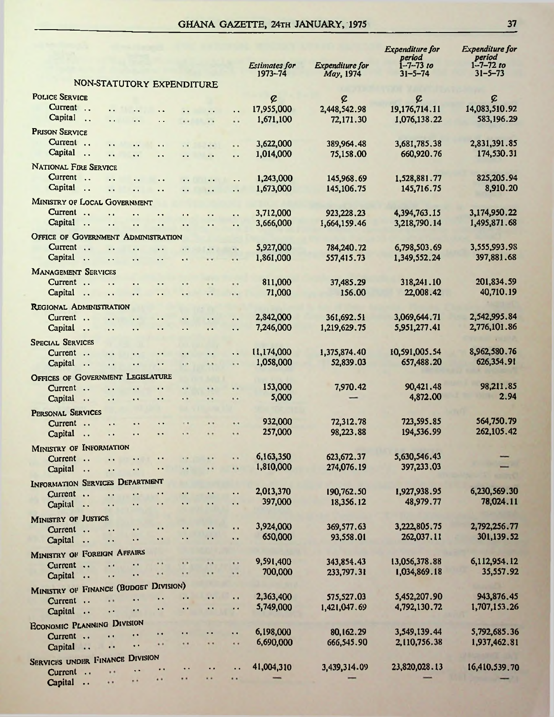#### GHANA GAZETTE, 24TH JANUARY, 1975

|                                            |                                                                                              |                                                |                      |                                              |                                              | <b>Estimates for</b><br>1973-74 | Expenditure for<br>May, 1974 | <b>Expenditure</b> for<br>period<br>$1 - 7 - 73$ to<br>$31 - 5 - 74$ | <b>Expenditure for</b><br>period<br>$1 - 7 - 72$ to<br>$31 - 5 - 73$ |
|--------------------------------------------|----------------------------------------------------------------------------------------------|------------------------------------------------|----------------------|----------------------------------------------|----------------------------------------------|---------------------------------|------------------------------|----------------------------------------------------------------------|----------------------------------------------------------------------|
|                                            | NON-STATUTORY EXPENDITURE                                                                    |                                                |                      |                                              |                                              |                                 |                              |                                                                      |                                                                      |
| <b>POLICE SERVICE</b>                      |                                                                                              |                                                |                      |                                              |                                              | ¢                               | ¢                            | ¢                                                                    | ¢                                                                    |
| Current                                    |                                                                                              |                                                |                      |                                              | μ.                                           | 17,955,000                      | 2,448,542.98                 | 19,176,714.11                                                        | 14,083,510.92                                                        |
| Capital<br>$\ddotsc$                       |                                                                                              |                                                |                      |                                              |                                              | 1,671,100                       | 72,171,30                    | 1,076,138.22                                                         | 583,196.29                                                           |
| <b>PRISON SERVICE</b>                      |                                                                                              |                                                |                      |                                              |                                              |                                 |                              |                                                                      |                                                                      |
| Current                                    |                                                                                              | $\ddot{\phantom{0}}$                           |                      |                                              | . .                                          | 3,622,000                       | 389,964.48                   | 3,681,785.38                                                         | 2,831,391.85                                                         |
| Capital<br>$\ddots$                        | . .<br>$\ddot{\phantom{0}}$                                                                  | $\ddot{\phantom{1}}$                           | . .                  | $\ddot{\phantom{a}}$                         | $\ddot{\phantom{a}}$                         | 1.014.000                       | 75,158.00                    | 660,920.76                                                           | 174,530.31                                                           |
| <b>NATIONAL FIRE SERVICE</b>               |                                                                                              |                                                |                      |                                              |                                              |                                 |                              |                                                                      |                                                                      |
| Current                                    | $\ddot{\phantom{0}}$                                                                         | $\ddot{\phantom{0}}$                           | $\ddot{\phantom{0}}$ | $\ddot{\phantom{a}}$                         | $\ddot{\phantom{0}}$                         | 1,243,000                       | 145,968.69                   | 1,528,881.77                                                         | 825,205.94                                                           |
| Capital<br>$\ddotsc$                       | $\ddot{\phantom{a}}$<br>$\ddot{\phantom{0}}$                                                 |                                                | . .                  | . .                                          | $\ddotsc$                                    | 1,673,000                       | 145,106.75                   | 145,716,75                                                           | 8.910.20                                                             |
| <b>MINISTRY OF LOCAL GOVERNMENT</b>        |                                                                                              |                                                |                      |                                              |                                              |                                 |                              |                                                                      |                                                                      |
| Current                                    |                                                                                              |                                                | $\ddot{\phantom{a}}$ |                                              | $\ddot{\phantom{0}}$                         | 3,712,000                       | 923, 228, 23                 | 4,394,763.15                                                         | 3,174,950.22                                                         |
| Capital<br>$\sim$                          | $\ddot{\phantom{a}}$<br>$\ddot{\phantom{0}}$                                                 | $\ddot{\phantom{0}}$                           | $\ddot{\phantom{a}}$ | $\ddot{\phantom{a}}$                         | $\ddot{\phantom{a}}$                         | 3,666,000                       | 1,664,159.46                 | 3,218,790.14                                                         | 1,495,871.68                                                         |
| <b>OFFICE OF GOVERNMENT ADMINISTRATION</b> |                                                                                              |                                                |                      |                                              |                                              |                                 |                              |                                                                      |                                                                      |
| Current                                    | $\ddot{\phantom{1}}$                                                                         | $\ddot{\phantom{1}}$                           | $\ddot{\phantom{1}}$ |                                              | ٠.                                           | 5,927,000                       | 784,240.72                   | 6,798,503.69                                                         | 3,555,993.98                                                         |
| Capital                                    | $\ddot{\phantom{0}}$<br>$\ddot{\phantom{0}}$                                                 | $\ddot{\phantom{0}}$                           | $\ddot{\phantom{a}}$ | $\ddot{\phantom{a}}$                         | . .                                          | 1,861,000                       | 557,415.73                   | 1,349,552.24                                                         | 397,881.68                                                           |
| <b>MANAGEMENT SERVICES</b>                 |                                                                                              |                                                |                      |                                              |                                              |                                 |                              |                                                                      |                                                                      |
| Current                                    | $\ddot{\phantom{a}}$<br>$\ddot{\phantom{0}}$                                                 | $\ddot{\phantom{1}}$                           | $\ddot{\phantom{1}}$ | . .                                          | $\ddot{\phantom{0}}$                         | 811,000                         | 37.485.29                    | 318,241.10                                                           | 201,834.59                                                           |
| Capital<br>$\ddotsc$                       | $\ddot{\phantom{0}}$<br>. .                                                                  | $\ddot{\phantom{1}}$                           | $\ddot{\phantom{0}}$ |                                              |                                              | 71,000                          | 156,00                       | 22,008.42                                                            | 40,710.19                                                            |
| REGIONAL ADMINISTRATION                    |                                                                                              |                                                |                      |                                              |                                              |                                 |                              |                                                                      |                                                                      |
| Current                                    | $\ddot{\phantom{0}}$<br>τ.                                                                   |                                                | $\ddot{\phantom{1}}$ | $\ddot{\phantom{1}}$                         | $\ddot{\phantom{a}}$                         | 2,842,000                       | 361,692.51                   | 3,069,644.71                                                         | 2,542,995.84                                                         |
| Capital                                    | τ.<br>$\ddot{\phantom{0}}$                                                                   | $\ddot{\phantom{0}}$                           | $\ddot{\phantom{a}}$ | $\ddot{\phantom{a}}$                         | $\ddot{\phantom{a}}$                         | 7,246,000                       | 1,219,629.75                 | 5,951,277.41                                                         | 2,776,101.86                                                         |
| <b>SPECIAL SERVICES</b>                    |                                                                                              |                                                |                      |                                              |                                              |                                 |                              |                                                                      |                                                                      |
| Current                                    | $\ddot{\phantom{1}}$                                                                         | $\ddot{\phantom{1}}$                           | $\ddot{\phantom{1}}$ | $\ddot{\phantom{1}}$                         |                                              | 11,174,000                      | 1,375,874,40<br>52,839.03    | 10,591,005.54<br>657,488,20                                          | 8,962,580.76<br>626,354.91                                           |
| Capital                                    | $\ddot{\phantom{0}}$<br>$\ddot{\phantom{1}}$                                                 | $\ddot{\phantom{0}}$                           | $\ddot{\phantom{0}}$ |                                              | $\ddot{\phantom{0}}$                         | 1,058,000                       |                              |                                                                      |                                                                      |
| OFFICES OF GOVERNMENT LEGISLATURE          |                                                                                              |                                                |                      |                                              |                                              |                                 |                              |                                                                      | 98,211.85                                                            |
| Current<br>Capital                         | $\ddot{\phantom{1}}$<br>$\ddot{\phantom{1}}$                                                 | $\ddot{\phantom{0}}$                           | $\cdot$              | $\ddot{\phantom{1}}$                         | $\ddot{\phantom{1}}$                         | 153,000<br>5,000                | 7,970,42                     | 90,421.48<br>4,872.00                                                | 2.94                                                                 |
| $\ddotsc$                                  | $\ddot{\phantom{0}}$<br>$\ddot{\phantom{0}}$                                                 | $\ddot{\phantom{1}}$                           | $\ddot{\phantom{1}}$ | $\ddot{\phantom{1}}$                         | $\ddot{\phantom{1}}$                         |                                 |                              |                                                                      |                                                                      |
| PERSONAL SERVICES                          |                                                                                              |                                                |                      |                                              |                                              | 932,000                         | 72,312.78                    | 723,595.85                                                           | 564,750.79                                                           |
| Current<br>Capital                         | $\ddot{\phantom{1}}$<br>$\ddot{\phantom{0}}$<br>$\ddot{\phantom{0}}$                         | . .<br>$\ddot{\phantom{a}}$                    | 0.8<br>$\epsilon$ .  | $\ddot{\phantom{1}}$<br>$\ddot{\phantom{1}}$ | $\ddot{\phantom{1}}$<br>$\ddot{\phantom{1}}$ | 257,000                         | 98,223.88                    | 194,536.99                                                           | 262,105.42                                                           |
| $\ddotsc$                                  |                                                                                              |                                                |                      |                                              |                                              |                                 |                              |                                                                      |                                                                      |
| MINISTRY OF INFORMATION                    |                                                                                              |                                                |                      |                                              | . .                                          | 6,163,350                       | 623, 672.37                  | 5,630,546.43                                                         |                                                                      |
| Current<br>Capital                         | $\ddot{\phantom{0}}$<br>$\ddot{\phantom{1}}$                                                 | $\ddot{\phantom{1}}$<br>$\ddot{\phantom{1}}$ . | $\ddot{\phantom{0}}$ | $\ddot{\phantom{1}}$<br>                     |                                              | 1,810,000                       | 274,076.19                   | 397,233.03                                                           |                                                                      |
| $\ddot{\phantom{a}}$                       | $\ddot{\phantom{1}}$                                                                         |                                                |                      |                                              |                                              |                                 |                              |                                                                      |                                                                      |
| INFORMATION SERVICES DEPARTMENT            |                                                                                              | $\ddot{\phantom{1}}$                           | $\bullet$            | $\sim$                                       | $\ddot{\phantom{a}}$                         | 2,013,370                       | 190,762,50                   | 1,927,938,95                                                         | 6,230,569.30                                                         |
| Current<br>Capital                         | $\ddot{\phantom{a}}$<br>$\ddot{\phantom{1}}$ .<br>$\ddot{\phantom{a}}$                       |                                                | $\ddot{\phantom{1}}$ | $\bullet$                                    | $\ddot{\phantom{1}}$                         | 397,000                         | 18,356.12                    | 48,979.77                                                            | 78,024.11                                                            |
|                                            |                                                                                              |                                                |                      |                                              |                                              |                                 |                              |                                                                      |                                                                      |
| MINISTRY OF JUSTICE                        |                                                                                              |                                                | $\ddot{\phantom{0}}$ | $\ddot{\phantom{0}}$                         | $\ddot{\phantom{a}}$                         | 3,924,000                       | 369,577.63                   | 3,222,805.75                                                         | 2,792,256.77                                                         |
| Current<br>Capital                         | $\ddot{\phantom{1}}$<br>$\ddot{\phantom{0}}$<br>. .<br>. .                                   | . .                                            | Ω,                   | $\ddot{\phantom{1}}$                         | . .                                          | 650,000                         | 93,558.01                    | 262,037.11                                                           | 301,139.52                                                           |
| $\ddotsc$                                  |                                                                                              |                                                |                      |                                              |                                              |                                 |                              |                                                                      |                                                                      |
| MINISTRY OF FOREIGN AFFAIRS                |                                                                                              | .,                                             | .,                   |                                              |                                              | 9,591,400                       | 343,854.43                   | 13,056,378.88                                                        | 6,112,954.12                                                         |
| Current<br>Capital                         | $\ddot{\phantom{1}}$<br>$\ddot{\phantom{1}}$<br><br>$\ddot{\phantom{0}}$                     | . .                                            | $\ddot{\phantom{1}}$ |                                              |                                              | 700,000                         | 233,797.31                   | 1,034,869.18                                                         | 35,557.92                                                            |
|                                            |                                                                                              |                                                |                      |                                              |                                              |                                 |                              |                                                                      |                                                                      |
| MINISTRY OF FINANCE (BUDGET DIVISION)      |                                                                                              | μ.                                             | . .                  |                                              | $\ddot{\phantom{0}}$                         | 2,363,400                       | 575,527.03                   | 5,452,207.90                                                         | 943,876.45                                                           |
| Current                                    | . .<br>$\ddot{\phantom{0}}$<br>$\ddot{\phantom{0}}$                                          | $\ddot{\phantom{1}}$                           | $\ddot{\phantom{1}}$ | $\ddot{\phantom{1}}$                         | $\ddot{\phantom{0}}$                         | 5,749,000                       | 1,421,047.69                 | 4,792,130.72                                                         | 1,707,153.26                                                         |
| Capital                                    | $\ddot{\phantom{1}}$                                                                         |                                                |                      |                                              |                                              |                                 |                              |                                                                      |                                                                      |
| <b>ECONOMIC PLANNING DIVISION</b>          |                                                                                              | $\ddot{\phantom{1}}$                           | $\ddot{\phantom{1}}$ |                                              | τ.                                           | 6,198,000                       | 80,162.29                    | 3,549,139.44                                                         | 5,792,685.36                                                         |
| Current                                    | $\ddot{\phantom{0}}$<br>$\ddot{\phantom{a}}$<br>$\ddot{\phantom{0}}$<br>$\ddot{\phantom{0}}$ | $\bullet$                                      |                      | $\ddot{\phantom{1}}$                         | $\ddot{\phantom{1}}$                         | 6,690,000                       | 666,545.90                   | 2,110,756.38                                                         | 1,937,462.81                                                         |
| Capital                                    |                                                                                              |                                                |                      |                                              |                                              |                                 |                              |                                                                      |                                                                      |
| <b>SERVICES UNDER FINANCE DIVISION</b>     | Ω,                                                                                           | . .                                            | . .                  | $\ddot{\phantom{a}}$                         | . .                                          | 41,004,310                      | 3,439,314.09                 | 23,820,028.13                                                        | 16,410,539.70                                                        |
| Current<br>Capital                         | $\ddot{\phantom{1}}$<br><br>$\cdots$                                                         | $\ddot{\phantom{1}}$                           |                      | $\ddot{\phantom{1}}$                         | $\ddot{\phantom{1}}$                         | -                               |                              |                                                                      |                                                                      |
|                                            |                                                                                              |                                                |                      |                                              |                                              |                                 |                              |                                                                      |                                                                      |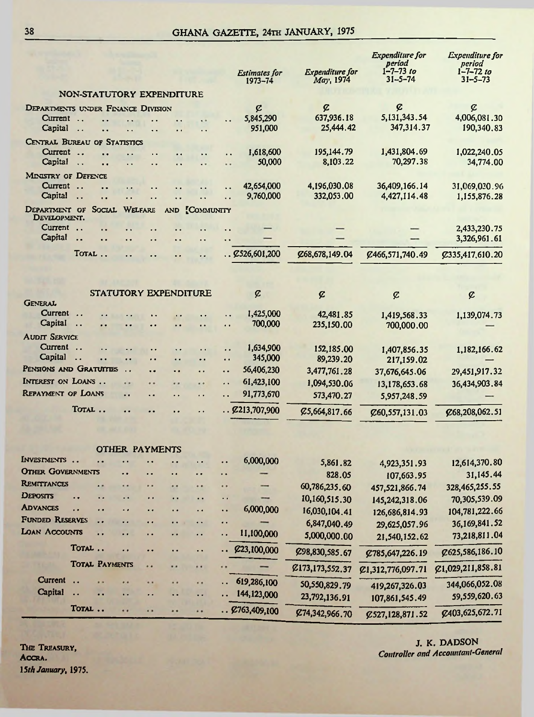| NON-STATUTORY EXPENDITURE<br>¢<br>¢<br>¢<br>DEPARTMENTS UNDER FINANCE DIVISION<br>¢<br>5,131,343.54<br>637,936.18<br>4,006,081.30<br>5,845,290<br>Current<br>$\ddotsc$<br>347,314.37<br>25,444.42<br>190,340.83<br>Capital<br>951,000<br>$\ddot{\phantom{a}}$<br>. .<br>CENTRAL BUREAU OF STATISTICS<br>195,144.79<br>1,431,804.69<br>Current<br>1,618,600<br>1,022,240.05<br>$\ddotsc$<br>$\ddot{\phantom{a}}$<br>. .<br>$\ddot{\phantom{0}}$<br>Capital<br>50,000<br>8,103.22<br>70,297.38<br>34,774.00<br>$\ddot{\phantom{0}}$<br>. .<br>. .<br>. .<br>. .<br>MINISTRY OF DEFENCE<br>Current<br>4,196,030.08<br>36,409,166.14<br>42,654,000<br>31,069,030.96<br>$\ddotsc$<br><br>$\cdot$ .<br>. .<br>Capital<br>9,760,000<br>332,053.00<br>4,427,114.48<br>1,155,876.28<br>$\ddot{\phantom{a}}$<br>$\ddot{\phantom{0}}$<br>. .<br>SOCIAL<br><b>WELFARE</b><br>DEPARTMENT OF<br><b>COMMUNITY</b><br><b>AND</b><br>DEVELOPMENT.<br>Current<br>2,433,230.75<br>Capital<br>3,326,961.61<br>. .<br>. .<br>TOTAL.<br>$\ldots$ $\cancel{2}526,601,200$<br>Ø68,678,149.04<br>Ø466,571,740.49<br>C335,417,610.20<br>STATUTORY EXPENDITURE<br>¢<br>¢<br>¢<br>¢<br><b>GENERAL</b><br>Current<br>1,425,000<br>42,481.85<br>1,419,568.33<br>1,139,074.73<br>. .<br>Capital<br>700,000<br>235,150.00<br>700,000.00<br>$\ddotsc$<br>$\cdot$ $\cdot$<br>$\ddot{\phantom{1}}$<br>. .<br><b>AUDIT SERVICE</b><br>Current<br>1,634,900<br>152,185.00<br>1,182,166.62<br>1,407,856.35<br>. .<br>$\ddot{\phantom{0}}$<br>. .<br>Capital<br>345,000<br>$\ddotsc$<br>89,239.20<br>217,159.02<br>. .<br>. .<br>. .<br>$\ddot{\phantom{0}}$<br>. .<br>PENSIONS AND GRATUITIES<br>56,406,230<br>3,477,761.28<br>37,676,645.06<br>29,451,917.32<br>. .<br>٠.<br>٠.<br>. .<br>INTEREST ON LOANS<br>61,423,100<br>1,094,530.06<br>36,434,903.84<br>13,178,653.68<br><br>$\cdot$<br><br><b>REPAYMENT OF LOANS</b><br>91,773,670<br>573,470.27<br>. .<br>٠.<br>5,957,248.59<br>. .<br>. .<br>TOTAL<br>. Q213,707,900<br>Ø5,664,817.66<br>C68,208,062.51<br><br>٠.<br>C60,557,131.03<br><b>OTHER PAYMENTS</b><br>INVESTMENTS.<br>6,000,000<br>12,614,370.80<br>. .<br>5,861.82<br>. .<br>4,923,351.93<br><b>OTHER GOVERNMENTS</b><br>31,145.44<br>. .<br>828.05<br>$\bullet$<br>107,663.95<br><b>REMITTANCES</b><br>328,465,255.55<br>60,786,235.60<br>. .<br>457,521,866.74<br><b>DEPOSITS</b><br>.,<br>10,160,515.30<br>70,305,539.09<br>. .<br>$\ddot{\phantom{0}}$<br>145,242,318.06<br><b>ADVANCES</b><br>6,000,000<br>16,030,104.41<br>104,781,222.66<br>. .<br>. .<br>. .<br>126,686,814.93<br><b>FUNDED RESERVES</b><br><br>6,847,040.49<br>36,169,841.52<br>. .<br>. .<br>. .<br>٠.<br>$\bullet$ .<br>29,625,057.96<br>LOAN ACCOUNTS<br>11,100,000<br>. .<br>73,218,811.04<br>. .<br>5,000,000.00<br>٠.<br>$\ddot{\phantom{1}}$<br>. .<br>21,540,152.62<br>TOTAL<br>£23,100,000<br>. .<br>Ø625,586,186.10<br>$\bullet$<br>μ.<br>C98,830,585.67<br>. .<br>Ø785,647,226.19<br><b>TOTAL PAYMENTS</b><br>۰.<br>C1,029,211,858.81<br>۰.<br>,,<br>C173,173,552.37<br>C1,312,776,097.71<br>Current<br>619,286,100<br>. .<br>344,066,052.08<br>$\bullet$<br>٠٠<br>٠,<br><br>50,550,829.79<br>419,267,326.03<br><b>Capital</b><br>144,123,000<br>. .<br>$\ddot{\phantom{1}}$<br>. .<br>59,559,620.63<br>$\ddot{\phantom{1}}$<br>Ω,<br>23,792,136.91<br>107,861,545.49<br>TOTAL<br>. 2763,409,100<br><br>.,<br><br> |  |  |  |  |  |  |  | <b>Estimates for</b><br>$1973 - 74$ | <b>Expenditure</b> for<br>May, 1974 | <b>Expenditure</b> for<br>period<br>$1 - 7 - 73$ to<br>$31 - 5 - 74$ | <i><b>Expenditure</b></i> for<br>period<br>$1 - 7 - 72$ to<br>$31 - 5 - 73$ |
|---------------------------------------------------------------------------------------------------------------------------------------------------------------------------------------------------------------------------------------------------------------------------------------------------------------------------------------------------------------------------------------------------------------------------------------------------------------------------------------------------------------------------------------------------------------------------------------------------------------------------------------------------------------------------------------------------------------------------------------------------------------------------------------------------------------------------------------------------------------------------------------------------------------------------------------------------------------------------------------------------------------------------------------------------------------------------------------------------------------------------------------------------------------------------------------------------------------------------------------------------------------------------------------------------------------------------------------------------------------------------------------------------------------------------------------------------------------------------------------------------------------------------------------------------------------------------------------------------------------------------------------------------------------------------------------------------------------------------------------------------------------------------------------------------------------------------------------------------------------------------------------------------------------------------------------------------------------------------------------------------------------------------------------------------------------------------------------------------------------------------------------------------------------------------------------------------------------------------------------------------------------------------------------------------------------------------------------------------------------------------------------------------------------------------------------------------------------------------------------------------------------------------------------------------------------------------------------------------------------------------------------------------------------------------------------------------------------------------------------------------------------------------------------------------------------------------------------------------------------------------------------------------------------------------------------------------------------------------------------------------------------------------------------------------------------------------------------------------------------------------------------------------------------------------------------------------------------------------------------------------------------------------------------------------------------------------------------------------------------------------------------|--|--|--|--|--|--|--|-------------------------------------|-------------------------------------|----------------------------------------------------------------------|-----------------------------------------------------------------------------|
|                                                                                                                                                                                                                                                                                                                                                                                                                                                                                                                                                                                                                                                                                                                                                                                                                                                                                                                                                                                                                                                                                                                                                                                                                                                                                                                                                                                                                                                                                                                                                                                                                                                                                                                                                                                                                                                                                                                                                                                                                                                                                                                                                                                                                                                                                                                                                                                                                                                                                                                                                                                                                                                                                                                                                                                                                                                                                                                                                                                                                                                                                                                                                                                                                                                                                                                                                                                       |  |  |  |  |  |  |  |                                     |                                     |                                                                      |                                                                             |
|                                                                                                                                                                                                                                                                                                                                                                                                                                                                                                                                                                                                                                                                                                                                                                                                                                                                                                                                                                                                                                                                                                                                                                                                                                                                                                                                                                                                                                                                                                                                                                                                                                                                                                                                                                                                                                                                                                                                                                                                                                                                                                                                                                                                                                                                                                                                                                                                                                                                                                                                                                                                                                                                                                                                                                                                                                                                                                                                                                                                                                                                                                                                                                                                                                                                                                                                                                                       |  |  |  |  |  |  |  |                                     |                                     |                                                                      |                                                                             |
|                                                                                                                                                                                                                                                                                                                                                                                                                                                                                                                                                                                                                                                                                                                                                                                                                                                                                                                                                                                                                                                                                                                                                                                                                                                                                                                                                                                                                                                                                                                                                                                                                                                                                                                                                                                                                                                                                                                                                                                                                                                                                                                                                                                                                                                                                                                                                                                                                                                                                                                                                                                                                                                                                                                                                                                                                                                                                                                                                                                                                                                                                                                                                                                                                                                                                                                                                                                       |  |  |  |  |  |  |  |                                     |                                     |                                                                      |                                                                             |
|                                                                                                                                                                                                                                                                                                                                                                                                                                                                                                                                                                                                                                                                                                                                                                                                                                                                                                                                                                                                                                                                                                                                                                                                                                                                                                                                                                                                                                                                                                                                                                                                                                                                                                                                                                                                                                                                                                                                                                                                                                                                                                                                                                                                                                                                                                                                                                                                                                                                                                                                                                                                                                                                                                                                                                                                                                                                                                                                                                                                                                                                                                                                                                                                                                                                                                                                                                                       |  |  |  |  |  |  |  |                                     |                                     |                                                                      |                                                                             |
|                                                                                                                                                                                                                                                                                                                                                                                                                                                                                                                                                                                                                                                                                                                                                                                                                                                                                                                                                                                                                                                                                                                                                                                                                                                                                                                                                                                                                                                                                                                                                                                                                                                                                                                                                                                                                                                                                                                                                                                                                                                                                                                                                                                                                                                                                                                                                                                                                                                                                                                                                                                                                                                                                                                                                                                                                                                                                                                                                                                                                                                                                                                                                                                                                                                                                                                                                                                       |  |  |  |  |  |  |  |                                     |                                     |                                                                      |                                                                             |
|                                                                                                                                                                                                                                                                                                                                                                                                                                                                                                                                                                                                                                                                                                                                                                                                                                                                                                                                                                                                                                                                                                                                                                                                                                                                                                                                                                                                                                                                                                                                                                                                                                                                                                                                                                                                                                                                                                                                                                                                                                                                                                                                                                                                                                                                                                                                                                                                                                                                                                                                                                                                                                                                                                                                                                                                                                                                                                                                                                                                                                                                                                                                                                                                                                                                                                                                                                                       |  |  |  |  |  |  |  |                                     |                                     |                                                                      |                                                                             |
|                                                                                                                                                                                                                                                                                                                                                                                                                                                                                                                                                                                                                                                                                                                                                                                                                                                                                                                                                                                                                                                                                                                                                                                                                                                                                                                                                                                                                                                                                                                                                                                                                                                                                                                                                                                                                                                                                                                                                                                                                                                                                                                                                                                                                                                                                                                                                                                                                                                                                                                                                                                                                                                                                                                                                                                                                                                                                                                                                                                                                                                                                                                                                                                                                                                                                                                                                                                       |  |  |  |  |  |  |  |                                     |                                     |                                                                      |                                                                             |
|                                                                                                                                                                                                                                                                                                                                                                                                                                                                                                                                                                                                                                                                                                                                                                                                                                                                                                                                                                                                                                                                                                                                                                                                                                                                                                                                                                                                                                                                                                                                                                                                                                                                                                                                                                                                                                                                                                                                                                                                                                                                                                                                                                                                                                                                                                                                                                                                                                                                                                                                                                                                                                                                                                                                                                                                                                                                                                                                                                                                                                                                                                                                                                                                                                                                                                                                                                                       |  |  |  |  |  |  |  |                                     |                                     |                                                                      |                                                                             |
|                                                                                                                                                                                                                                                                                                                                                                                                                                                                                                                                                                                                                                                                                                                                                                                                                                                                                                                                                                                                                                                                                                                                                                                                                                                                                                                                                                                                                                                                                                                                                                                                                                                                                                                                                                                                                                                                                                                                                                                                                                                                                                                                                                                                                                                                                                                                                                                                                                                                                                                                                                                                                                                                                                                                                                                                                                                                                                                                                                                                                                                                                                                                                                                                                                                                                                                                                                                       |  |  |  |  |  |  |  |                                     |                                     |                                                                      |                                                                             |
|                                                                                                                                                                                                                                                                                                                                                                                                                                                                                                                                                                                                                                                                                                                                                                                                                                                                                                                                                                                                                                                                                                                                                                                                                                                                                                                                                                                                                                                                                                                                                                                                                                                                                                                                                                                                                                                                                                                                                                                                                                                                                                                                                                                                                                                                                                                                                                                                                                                                                                                                                                                                                                                                                                                                                                                                                                                                                                                                                                                                                                                                                                                                                                                                                                                                                                                                                                                       |  |  |  |  |  |  |  |                                     |                                     |                                                                      |                                                                             |
|                                                                                                                                                                                                                                                                                                                                                                                                                                                                                                                                                                                                                                                                                                                                                                                                                                                                                                                                                                                                                                                                                                                                                                                                                                                                                                                                                                                                                                                                                                                                                                                                                                                                                                                                                                                                                                                                                                                                                                                                                                                                                                                                                                                                                                                                                                                                                                                                                                                                                                                                                                                                                                                                                                                                                                                                                                                                                                                                                                                                                                                                                                                                                                                                                                                                                                                                                                                       |  |  |  |  |  |  |  |                                     |                                     |                                                                      |                                                                             |
|                                                                                                                                                                                                                                                                                                                                                                                                                                                                                                                                                                                                                                                                                                                                                                                                                                                                                                                                                                                                                                                                                                                                                                                                                                                                                                                                                                                                                                                                                                                                                                                                                                                                                                                                                                                                                                                                                                                                                                                                                                                                                                                                                                                                                                                                                                                                                                                                                                                                                                                                                                                                                                                                                                                                                                                                                                                                                                                                                                                                                                                                                                                                                                                                                                                                                                                                                                                       |  |  |  |  |  |  |  |                                     |                                     |                                                                      |                                                                             |
|                                                                                                                                                                                                                                                                                                                                                                                                                                                                                                                                                                                                                                                                                                                                                                                                                                                                                                                                                                                                                                                                                                                                                                                                                                                                                                                                                                                                                                                                                                                                                                                                                                                                                                                                                                                                                                                                                                                                                                                                                                                                                                                                                                                                                                                                                                                                                                                                                                                                                                                                                                                                                                                                                                                                                                                                                                                                                                                                                                                                                                                                                                                                                                                                                                                                                                                                                                                       |  |  |  |  |  |  |  |                                     |                                     |                                                                      |                                                                             |
|                                                                                                                                                                                                                                                                                                                                                                                                                                                                                                                                                                                                                                                                                                                                                                                                                                                                                                                                                                                                                                                                                                                                                                                                                                                                                                                                                                                                                                                                                                                                                                                                                                                                                                                                                                                                                                                                                                                                                                                                                                                                                                                                                                                                                                                                                                                                                                                                                                                                                                                                                                                                                                                                                                                                                                                                                                                                                                                                                                                                                                                                                                                                                                                                                                                                                                                                                                                       |  |  |  |  |  |  |  |                                     |                                     |                                                                      |                                                                             |
|                                                                                                                                                                                                                                                                                                                                                                                                                                                                                                                                                                                                                                                                                                                                                                                                                                                                                                                                                                                                                                                                                                                                                                                                                                                                                                                                                                                                                                                                                                                                                                                                                                                                                                                                                                                                                                                                                                                                                                                                                                                                                                                                                                                                                                                                                                                                                                                                                                                                                                                                                                                                                                                                                                                                                                                                                                                                                                                                                                                                                                                                                                                                                                                                                                                                                                                                                                                       |  |  |  |  |  |  |  |                                     |                                     |                                                                      |                                                                             |
|                                                                                                                                                                                                                                                                                                                                                                                                                                                                                                                                                                                                                                                                                                                                                                                                                                                                                                                                                                                                                                                                                                                                                                                                                                                                                                                                                                                                                                                                                                                                                                                                                                                                                                                                                                                                                                                                                                                                                                                                                                                                                                                                                                                                                                                                                                                                                                                                                                                                                                                                                                                                                                                                                                                                                                                                                                                                                                                                                                                                                                                                                                                                                                                                                                                                                                                                                                                       |  |  |  |  |  |  |  |                                     |                                     |                                                                      |                                                                             |
|                                                                                                                                                                                                                                                                                                                                                                                                                                                                                                                                                                                                                                                                                                                                                                                                                                                                                                                                                                                                                                                                                                                                                                                                                                                                                                                                                                                                                                                                                                                                                                                                                                                                                                                                                                                                                                                                                                                                                                                                                                                                                                                                                                                                                                                                                                                                                                                                                                                                                                                                                                                                                                                                                                                                                                                                                                                                                                                                                                                                                                                                                                                                                                                                                                                                                                                                                                                       |  |  |  |  |  |  |  |                                     |                                     |                                                                      |                                                                             |
|                                                                                                                                                                                                                                                                                                                                                                                                                                                                                                                                                                                                                                                                                                                                                                                                                                                                                                                                                                                                                                                                                                                                                                                                                                                                                                                                                                                                                                                                                                                                                                                                                                                                                                                                                                                                                                                                                                                                                                                                                                                                                                                                                                                                                                                                                                                                                                                                                                                                                                                                                                                                                                                                                                                                                                                                                                                                                                                                                                                                                                                                                                                                                                                                                                                                                                                                                                                       |  |  |  |  |  |  |  |                                     |                                     |                                                                      |                                                                             |
|                                                                                                                                                                                                                                                                                                                                                                                                                                                                                                                                                                                                                                                                                                                                                                                                                                                                                                                                                                                                                                                                                                                                                                                                                                                                                                                                                                                                                                                                                                                                                                                                                                                                                                                                                                                                                                                                                                                                                                                                                                                                                                                                                                                                                                                                                                                                                                                                                                                                                                                                                                                                                                                                                                                                                                                                                                                                                                                                                                                                                                                                                                                                                                                                                                                                                                                                                                                       |  |  |  |  |  |  |  |                                     |                                     |                                                                      |                                                                             |
|                                                                                                                                                                                                                                                                                                                                                                                                                                                                                                                                                                                                                                                                                                                                                                                                                                                                                                                                                                                                                                                                                                                                                                                                                                                                                                                                                                                                                                                                                                                                                                                                                                                                                                                                                                                                                                                                                                                                                                                                                                                                                                                                                                                                                                                                                                                                                                                                                                                                                                                                                                                                                                                                                                                                                                                                                                                                                                                                                                                                                                                                                                                                                                                                                                                                                                                                                                                       |  |  |  |  |  |  |  |                                     |                                     |                                                                      |                                                                             |
|                                                                                                                                                                                                                                                                                                                                                                                                                                                                                                                                                                                                                                                                                                                                                                                                                                                                                                                                                                                                                                                                                                                                                                                                                                                                                                                                                                                                                                                                                                                                                                                                                                                                                                                                                                                                                                                                                                                                                                                                                                                                                                                                                                                                                                                                                                                                                                                                                                                                                                                                                                                                                                                                                                                                                                                                                                                                                                                                                                                                                                                                                                                                                                                                                                                                                                                                                                                       |  |  |  |  |  |  |  |                                     |                                     |                                                                      |                                                                             |
|                                                                                                                                                                                                                                                                                                                                                                                                                                                                                                                                                                                                                                                                                                                                                                                                                                                                                                                                                                                                                                                                                                                                                                                                                                                                                                                                                                                                                                                                                                                                                                                                                                                                                                                                                                                                                                                                                                                                                                                                                                                                                                                                                                                                                                                                                                                                                                                                                                                                                                                                                                                                                                                                                                                                                                                                                                                                                                                                                                                                                                                                                                                                                                                                                                                                                                                                                                                       |  |  |  |  |  |  |  |                                     |                                     |                                                                      |                                                                             |
|                                                                                                                                                                                                                                                                                                                                                                                                                                                                                                                                                                                                                                                                                                                                                                                                                                                                                                                                                                                                                                                                                                                                                                                                                                                                                                                                                                                                                                                                                                                                                                                                                                                                                                                                                                                                                                                                                                                                                                                                                                                                                                                                                                                                                                                                                                                                                                                                                                                                                                                                                                                                                                                                                                                                                                                                                                                                                                                                                                                                                                                                                                                                                                                                                                                                                                                                                                                       |  |  |  |  |  |  |  |                                     |                                     |                                                                      |                                                                             |
|                                                                                                                                                                                                                                                                                                                                                                                                                                                                                                                                                                                                                                                                                                                                                                                                                                                                                                                                                                                                                                                                                                                                                                                                                                                                                                                                                                                                                                                                                                                                                                                                                                                                                                                                                                                                                                                                                                                                                                                                                                                                                                                                                                                                                                                                                                                                                                                                                                                                                                                                                                                                                                                                                                                                                                                                                                                                                                                                                                                                                                                                                                                                                                                                                                                                                                                                                                                       |  |  |  |  |  |  |  |                                     |                                     |                                                                      |                                                                             |
|                                                                                                                                                                                                                                                                                                                                                                                                                                                                                                                                                                                                                                                                                                                                                                                                                                                                                                                                                                                                                                                                                                                                                                                                                                                                                                                                                                                                                                                                                                                                                                                                                                                                                                                                                                                                                                                                                                                                                                                                                                                                                                                                                                                                                                                                                                                                                                                                                                                                                                                                                                                                                                                                                                                                                                                                                                                                                                                                                                                                                                                                                                                                                                                                                                                                                                                                                                                       |  |  |  |  |  |  |  |                                     |                                     |                                                                      |                                                                             |
|                                                                                                                                                                                                                                                                                                                                                                                                                                                                                                                                                                                                                                                                                                                                                                                                                                                                                                                                                                                                                                                                                                                                                                                                                                                                                                                                                                                                                                                                                                                                                                                                                                                                                                                                                                                                                                                                                                                                                                                                                                                                                                                                                                                                                                                                                                                                                                                                                                                                                                                                                                                                                                                                                                                                                                                                                                                                                                                                                                                                                                                                                                                                                                                                                                                                                                                                                                                       |  |  |  |  |  |  |  |                                     |                                     |                                                                      |                                                                             |
|                                                                                                                                                                                                                                                                                                                                                                                                                                                                                                                                                                                                                                                                                                                                                                                                                                                                                                                                                                                                                                                                                                                                                                                                                                                                                                                                                                                                                                                                                                                                                                                                                                                                                                                                                                                                                                                                                                                                                                                                                                                                                                                                                                                                                                                                                                                                                                                                                                                                                                                                                                                                                                                                                                                                                                                                                                                                                                                                                                                                                                                                                                                                                                                                                                                                                                                                                                                       |  |  |  |  |  |  |  |                                     |                                     |                                                                      |                                                                             |
|                                                                                                                                                                                                                                                                                                                                                                                                                                                                                                                                                                                                                                                                                                                                                                                                                                                                                                                                                                                                                                                                                                                                                                                                                                                                                                                                                                                                                                                                                                                                                                                                                                                                                                                                                                                                                                                                                                                                                                                                                                                                                                                                                                                                                                                                                                                                                                                                                                                                                                                                                                                                                                                                                                                                                                                                                                                                                                                                                                                                                                                                                                                                                                                                                                                                                                                                                                                       |  |  |  |  |  |  |  |                                     |                                     |                                                                      |                                                                             |
|                                                                                                                                                                                                                                                                                                                                                                                                                                                                                                                                                                                                                                                                                                                                                                                                                                                                                                                                                                                                                                                                                                                                                                                                                                                                                                                                                                                                                                                                                                                                                                                                                                                                                                                                                                                                                                                                                                                                                                                                                                                                                                                                                                                                                                                                                                                                                                                                                                                                                                                                                                                                                                                                                                                                                                                                                                                                                                                                                                                                                                                                                                                                                                                                                                                                                                                                                                                       |  |  |  |  |  |  |  |                                     |                                     |                                                                      |                                                                             |
|                                                                                                                                                                                                                                                                                                                                                                                                                                                                                                                                                                                                                                                                                                                                                                                                                                                                                                                                                                                                                                                                                                                                                                                                                                                                                                                                                                                                                                                                                                                                                                                                                                                                                                                                                                                                                                                                                                                                                                                                                                                                                                                                                                                                                                                                                                                                                                                                                                                                                                                                                                                                                                                                                                                                                                                                                                                                                                                                                                                                                                                                                                                                                                                                                                                                                                                                                                                       |  |  |  |  |  |  |  |                                     |                                     |                                                                      |                                                                             |
|                                                                                                                                                                                                                                                                                                                                                                                                                                                                                                                                                                                                                                                                                                                                                                                                                                                                                                                                                                                                                                                                                                                                                                                                                                                                                                                                                                                                                                                                                                                                                                                                                                                                                                                                                                                                                                                                                                                                                                                                                                                                                                                                                                                                                                                                                                                                                                                                                                                                                                                                                                                                                                                                                                                                                                                                                                                                                                                                                                                                                                                                                                                                                                                                                                                                                                                                                                                       |  |  |  |  |  |  |  |                                     |                                     |                                                                      |                                                                             |
|                                                                                                                                                                                                                                                                                                                                                                                                                                                                                                                                                                                                                                                                                                                                                                                                                                                                                                                                                                                                                                                                                                                                                                                                                                                                                                                                                                                                                                                                                                                                                                                                                                                                                                                                                                                                                                                                                                                                                                                                                                                                                                                                                                                                                                                                                                                                                                                                                                                                                                                                                                                                                                                                                                                                                                                                                                                                                                                                                                                                                                                                                                                                                                                                                                                                                                                                                                                       |  |  |  |  |  |  |  |                                     |                                     |                                                                      |                                                                             |
|                                                                                                                                                                                                                                                                                                                                                                                                                                                                                                                                                                                                                                                                                                                                                                                                                                                                                                                                                                                                                                                                                                                                                                                                                                                                                                                                                                                                                                                                                                                                                                                                                                                                                                                                                                                                                                                                                                                                                                                                                                                                                                                                                                                                                                                                                                                                                                                                                                                                                                                                                                                                                                                                                                                                                                                                                                                                                                                                                                                                                                                                                                                                                                                                                                                                                                                                                                                       |  |  |  |  |  |  |  |                                     |                                     |                                                                      |                                                                             |
|                                                                                                                                                                                                                                                                                                                                                                                                                                                                                                                                                                                                                                                                                                                                                                                                                                                                                                                                                                                                                                                                                                                                                                                                                                                                                                                                                                                                                                                                                                                                                                                                                                                                                                                                                                                                                                                                                                                                                                                                                                                                                                                                                                                                                                                                                                                                                                                                                                                                                                                                                                                                                                                                                                                                                                                                                                                                                                                                                                                                                                                                                                                                                                                                                                                                                                                                                                                       |  |  |  |  |  |  |  |                                     |                                     |                                                                      |                                                                             |
|                                                                                                                                                                                                                                                                                                                                                                                                                                                                                                                                                                                                                                                                                                                                                                                                                                                                                                                                                                                                                                                                                                                                                                                                                                                                                                                                                                                                                                                                                                                                                                                                                                                                                                                                                                                                                                                                                                                                                                                                                                                                                                                                                                                                                                                                                                                                                                                                                                                                                                                                                                                                                                                                                                                                                                                                                                                                                                                                                                                                                                                                                                                                                                                                                                                                                                                                                                                       |  |  |  |  |  |  |  |                                     |                                     |                                                                      |                                                                             |
|                                                                                                                                                                                                                                                                                                                                                                                                                                                                                                                                                                                                                                                                                                                                                                                                                                                                                                                                                                                                                                                                                                                                                                                                                                                                                                                                                                                                                                                                                                                                                                                                                                                                                                                                                                                                                                                                                                                                                                                                                                                                                                                                                                                                                                                                                                                                                                                                                                                                                                                                                                                                                                                                                                                                                                                                                                                                                                                                                                                                                                                                                                                                                                                                                                                                                                                                                                                       |  |  |  |  |  |  |  |                                     |                                     |                                                                      |                                                                             |
|                                                                                                                                                                                                                                                                                                                                                                                                                                                                                                                                                                                                                                                                                                                                                                                                                                                                                                                                                                                                                                                                                                                                                                                                                                                                                                                                                                                                                                                                                                                                                                                                                                                                                                                                                                                                                                                                                                                                                                                                                                                                                                                                                                                                                                                                                                                                                                                                                                                                                                                                                                                                                                                                                                                                                                                                                                                                                                                                                                                                                                                                                                                                                                                                                                                                                                                                                                                       |  |  |  |  |  |  |  |                                     | Ø74,342,966.70                      | C527, 128, 871.52                                                    | £403,625,672.71                                                             |

THE TREASURY, ACCRA. 15th January, 1975.

J. K. DADSON **Controller and Accountant-General**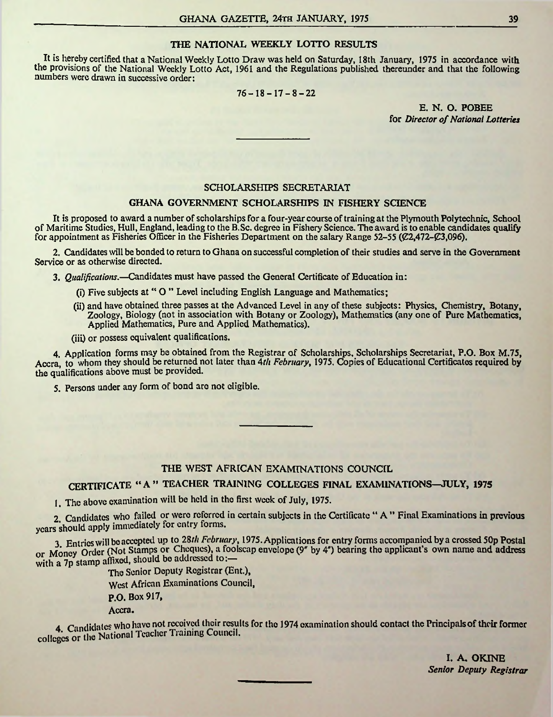#### THE NATIONAL WEEKLY LOTTO RESULTS

It is hereby certified that a National Weekly Lotto Draw was held on Saturday, 18th January, 1975 in accordance with the provisions of the National Weekly Lotto Act, 1961 and the Regulations published thereunder and that the following numbers were drawn in successive order:

 $76 - 18 - 17 - 8 - 22$ 

E. N. O. POBEE for *Director* of *National Lotteries* 

#### SCHOLARSHIPS SECRETARIAT

#### GHANA GOVERNMENT SCHOLARSHIPS IN FISHERY SCIENCE

It is proposed to award a number of scholarships for a four-year course of training at the Plymouth Polytechnic, School of Maritime Studies, Hull, England, leading to the B.Sc. degree in Fishery Science. The award is to enable candidates qualify for appointment as Fisheries Officer in the Fisheries Department on the salary Range 52-55 ( $\mathcal{C}2,472-\mathcal{C}3,096$ ).

2. Candidates will be bonded to return to Ghana on successful completion of their studies and serve in the Government Service or as otherwise directed.

3. *Qualificatiotis.*—Candidates must have passed the General Certificate of Education in:

- (i) Five subjects at " O " Level including English Language and Mathematics;
- (ii) and have obtained three passes at the Advanced Level in any of these subjects: Physics, Chemistry, Botany, Zoology, Biology (not in association with Botany or Zoology), Mathematics (any one of Pure Mathematics, Applied Mathematics, Pure and Applied Mathematics).

(iii) or possess equivalent qualifications.

4. Application forms may be obtained from the Registrar of Scholarships, Scholarships Secretariat, P.O. Box M.75, Accra, to whom they should be returned not later than 4*th February*, 1975. Copies of Educational Certificates required by the qualifications above must be provided.

5. Persons under any form of bond are not eligible.

#### THE WEST AFRICAN EXAMINATIONS COUNCIL

CERTIFICATE "A" TEACHER TRAINING COLLEGES FINAL EXAMINATIONS—**JULY, <sup>1975</sup>**

1. The above examination will be held in the first week of July, 1975.

2. Candidates who failed or were referred in certain subjects in the Certificate " A " Final Examinations in previous years should apply immediately for entry forms.

3 Entries will be accepted up to 28/// *February*, 1975. Applications for entry forms accompanied bya crossed 50p Postal 3. Entries will be accepted for Cheques), a foolscap envelope (9<sup>\*</sup> by 4<sup>\*</sup>) bearing the applicant's own name and address or Money Order (Not Stamps or Cheques), a foolscap envelope (9<sup>\*</sup> by 4<sup>\*</sup>) bearing the applicant's o with a 7p stamp affixed, should be addressed to:-

Tho Senior Deputy Registrar (Ent.),

West African Examinations Council,

P.O. Box 917,

Accra.

4. Candidates who have not received their results for the 1974 examination should contact the Principals of their former colleges or the National Teacher Training Council.

I. A. OKINE *Senior Deputy Registrar*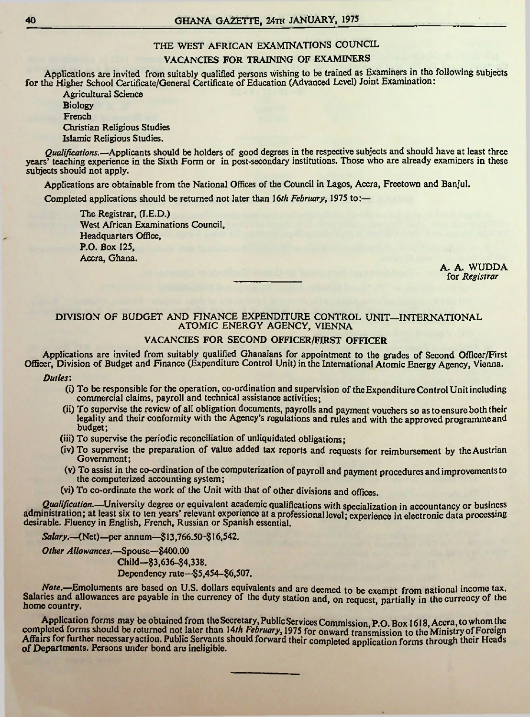#### THE WEST AFRICAN EXAMINATIONS COUNCIL

#### VACANCIES FOR TRAINING OF EXAMINERS

Applications are invited from suitably qualified persons wishing to be trained as Examiners in the following subjects for the Higher School Certificate/General Certificate of Education (Advanced Level) Joint Examination:

Agricultural Science Biology French Christian Religious Studies Islamic Religious Studies.

*Qualifications.*—Applicants should be holders of good degrees in the respective subjects and should have at least three years<sup>7</sup> teaching experience in the Sixth Form or in post-secondary institutions. Those who are already examiners in these subjects should not apply.

Applications are obtainable from the National Offices of the Council in Lagos, Accra, Freetown and Banjul.

Completed applications should be returned not later than 16/// *February*, 1975 to:—

The Registrar, (I.E.D.) West African Examinations Council, Headquarters Office, P.O. Box 125, Accra, Ghana.

A. A. WUDDA for *Registrar*

#### DIVISION OF BUDGET AND FINANCE EXPENDITURE CONTROL UNIT—INTERNATIONAL ATOMIC ENERGY AGENCY, VIENNA

#### VACANCIES FOR SECOND OFFICER/FIRST OFFICER

Applications arc invited from suitably qualified Ghanaians for appointment to the grades of Second Officer/First Officer, Division of Budget and Finance (Expenditure Control Unit) in the International Atomic Energy Agency, Vienna.

*Duties*:

- (i) To be responsible for the operation, co-ordination and supervision oftheExpenditureControlUnitincluding commercial claims, payroll and technical assistance activities;
- (ii) To supervise the review of all obligation documents, payrolls and payment vouchers so asto ensureboth their legality and their conformity with the Agency's regulations and rules and with the approved programmeand budget;
- (iii) To supervise the periodic reconciliation of unliquidated obligations;
- (iv) To supervise the preparation of value added tax reports and requests for reimbursement by theAustrian Government;
- (v) To assist in the co-ordination of the computerization of payroll and payment procedures and improvements to the computerized accounting system;
- (vi) To co-ordinate the work of the Unit with that of other divisions and offices.

*Qualification.—*University degree or equivalent academic qualifications with specialization in accountancy or business administration; at least six to ten years' relevant experience at a professional level; experience in electronic data processing desirable. Fluency in English, French, Russian or Spanish essential.

*Salary.*—(Net)—per annum—\$ 13,766.50-816,542.

*Other Allowances.*—Spouse—\$400.00 Child—\$3,636-84,338. Dependency rate—\$5,454-\$6,507.

*Note.*—Emoluments are based on U.S. dollars equivalents and are deemed to be exempt from national income tax. Salaries and allowances are payable in the currency of the duty station and, on request, partially in the currency of the<br>home country.

Application forms may be obtained from the Secretary, Public Services Commission, P.O. Box 1618, Accra, to whom the completed forms should be returned not later than 14th February, 1975 for onward transmission to the Ministry of Foreign Affairs for further necessaryaction. Public Servants should forward their completed application forms through their Heads of Departments. Persons under bond are ineligible.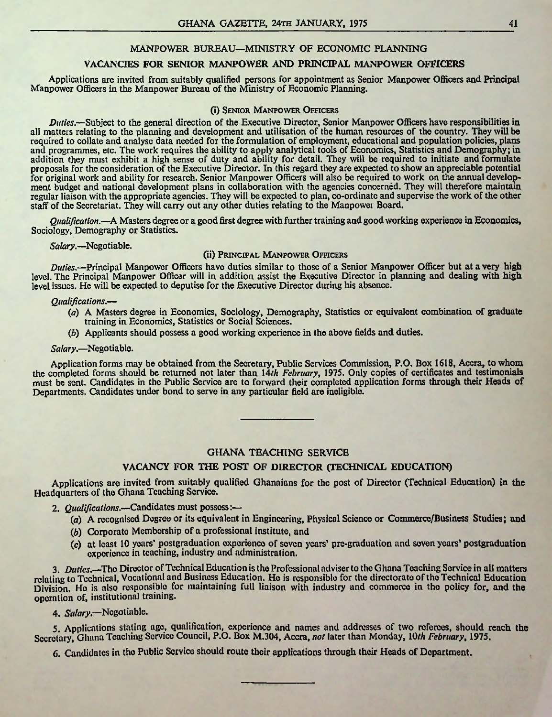#### MANPOWER BUREAU—MINISTRY OF ECONOMIC PLANNING

#### VACANCIES FOR SENIOR MANPOWER AND PRINCIPAL MANPOWER OFFICERS

Applications are invited from suitably qualified persons for appointment as Senior Manpower Officers and Principal Manpower Officers in the Manpower Bureau of the Ministry of Economic Planning.

#### (i) Senior Manpower Officers

*Duties.*—Subject to the general direction of the Executive Director, Senior Manpower Officers have responsibilities in all matters relating to the planning and development and utilisation of the human resources of the country. They will be required to collate and analyse data needed for the formulation of employment, educational and population policies, plans and programmes, etc. The work requires the ability to apply analytical tools of Economics, Statistics and Demography; in addition they must exhibit a high sense of duty and ability for detail. They will be required to initiate and formulate proposals for the consideration of the Executive Director. In this regard they are expected to show an appreciable potential for original work and ability for research. Senior Manpower Officers will also be required to work on the annual development budget and national development plans in collaboration with the agencies concerned. They will therefore maintain regular liaison with the appropriate agencies. They will be expected to plan, co-ordinate and supervise the work ofthe other staff of the Secretariat. They will carry out any other duties relating to the Manpower Board.

*Qualification.*—A Masters degree or a good first degree with further training and good working experience in Economics. Sociology, Demography or Statistics.

*Salary.*—Negotiable.

#### (ii) Principal Manpower Officers

*Duties.*—Principal Manpower Officers have duties similar to those of a Senior Manpower Officer but at a very high level. The Principal Manpower Officer will in addition assist the Executive Director in planning and dealing with high level issues. He will be expected to deputise for the Executive Director during his absence.

#### *Qualifications.*—

- *(a)* A Masters degree in Economics, Sociology, Demography, Statistics or equivalent combination of graduate training in Economics, Statistics or Social Sciences.
- (*b*) Applicants should possess a good working experience in the above fields and duties.

#### *Salary.*—Negotiable.

Application forms may be obtained from the Secretary, Public Services Commission, P.O. Box 1618, Accra, to whom the completed forms should be returned not later than 14*th February*, 1975. Only copies of certificates and testimonials must be sent. Candidates in the Public Service are to forward their completed application forms through their Heads of Departments. Candidates under bond to serve in any particular field are ineligible.

#### GHANA TEACHING SERVICE

#### VACANCY FOR THE POST OF DIRECTOR (TECHNICAL EDUCATION)

Applications are invited from suitably qualified Ghanaians for the post of Director (Technical Education) in the Headquarters of the Ghana Teaching Service.

- 2. *Qualifications.*—Candidates must possess:—
	- (a) A recognised Degree or its equivalent in Engineering, Physical Science or Commerce/Business Studies; and
	- (b) Corporate Membership of a professional institute, and
	- (c) at least 10 years\* postgraduation experience of seven years\* pre-graduation and seven years' postgraduation experience in teaching, industry and administration.

3. *Duties*.—The Director of Technical Education is the Professional adviser to the Ghana Teaching Service in all matters relating to Technical, Vocational and Business Education, He is responsible for the directorate ofthe Technical Education Division. Ho is also responsible for maintaining full liaison with industry and commerce in the policy for, and the operation of, institutional training.

4. *Salary.—*Negotiable.

5. Applications staling ago, qualification, experience and names and addresses of two referees, should reach the Secretary, Ghana Teaching Service Council, P.O. Box M.304, Accra, *not* later than Monday, *lOth February*, 1975.

6. Candidates in the Public Service should route their applications through their Heads of Department.